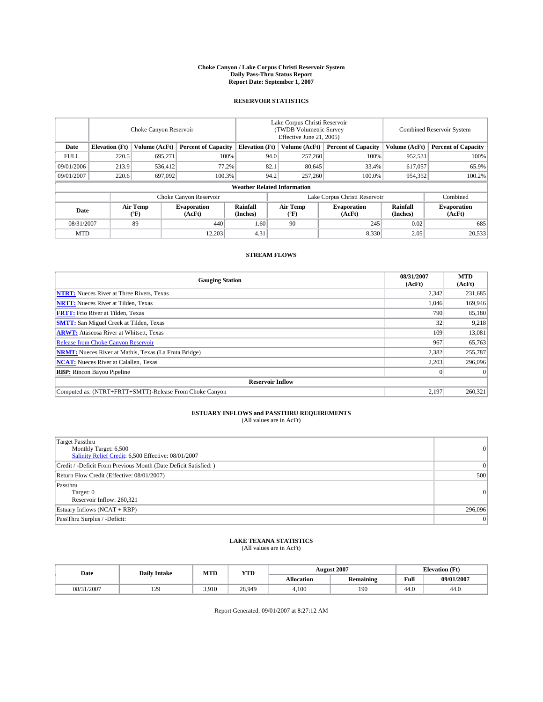#### **Choke Canyon / Lake Corpus Christi Reservoir System Daily Pass-Thru Status Report Report Date: September 1, 2007**

### **RESERVOIR STATISTICS**

|             | Choke Canyon Reservoir             |                  |                              |                             | Lake Corpus Christi Reservoir<br>(TWDB Volumetric Survey<br>Effective June 21, 2005) |                  |                              |                      | <b>Combined Reservoir System</b> |  |  |
|-------------|------------------------------------|------------------|------------------------------|-----------------------------|--------------------------------------------------------------------------------------|------------------|------------------------------|----------------------|----------------------------------|--|--|
| Date        | <b>Elevation</b> (Ft)              | Volume (AcFt)    | <b>Percent of Capacity</b>   | <b>Elevation</b> (Ft)       |                                                                                      | Volume (AcFt)    | <b>Percent of Capacity</b>   | Volume (AcFt)        | <b>Percent of Capacity</b>       |  |  |
| <b>FULL</b> | 220.5                              | 695.271          |                              | 100%                        | 94.0                                                                                 | 257,260          | 100%                         | 952,531              | 100%                             |  |  |
| 09/01/2006  | 213.9                              | 536,412          |                              | 77.2%                       | 82.1                                                                                 | 80.645           | 33.4%                        | 617.057              | 65.9%                            |  |  |
| 09/01/2007  | 220.6                              | 697,092          | 100.3%                       |                             | 94.2                                                                                 | 257,260          | 100.0%                       | 954,352              | 100.2%                           |  |  |
|             | <b>Weather Related Information</b> |                  |                              |                             |                                                                                      |                  |                              |                      |                                  |  |  |
|             |                                    |                  | Choke Canyon Reservoir       |                             | Lake Corpus Christi Reservoir                                                        |                  |                              |                      | Combined                         |  |  |
| Date        |                                    | Air Temp<br>(°F) | <b>Evaporation</b><br>(AcFt) | <b>Rainfall</b><br>(Inches) |                                                                                      | Air Temp<br>("F) | <b>Evaporation</b><br>(AcFt) | Rainfall<br>(Inches) | <b>Evaporation</b><br>(AcFt)     |  |  |
| 08/31/2007  |                                    | 89               | 440                          | 1.60                        |                                                                                      | 90               | 245                          | 0.02                 | 685                              |  |  |
| <b>MTD</b>  |                                    |                  | 12,203                       | 4.31                        |                                                                                      |                  | 8,330                        | 2.05                 | 20,533                           |  |  |

### **STREAM FLOWS**

| <b>Gauging Station</b>                                       | 08/31/2007<br>(AcFt) | <b>MTD</b><br>(AcFt) |
|--------------------------------------------------------------|----------------------|----------------------|
| <b>NTRT:</b> Nueces River at Three Rivers, Texas             | 2,342                | 231,685              |
| <b>NRTT:</b> Nueces River at Tilden, Texas                   | 1.046                | 169,946              |
| <b>FRTT:</b> Frio River at Tilden, Texas                     | 790                  | 85,180               |
| <b>SMTT:</b> San Miguel Creek at Tilden, Texas               | 32                   | 9,218                |
| <b>ARWT:</b> Atascosa River at Whitsett, Texas               | 109                  | 13,081               |
| <b>Release from Choke Canyon Reservoir</b>                   | 967                  | 65,763               |
| <b>NRMT:</b> Nueces River at Mathis, Texas (La Fruta Bridge) | 2,382                | 255,787              |
| <b>NCAT:</b> Nueces River at Calallen, Texas                 | 2.203                | 296,096              |
| <b>RBP:</b> Rincon Bayou Pipeline                            | $\mathbf{0}$         | $\Omega$             |
| <b>Reservoir Inflow</b>                                      |                      |                      |
| Computed as: (NTRT+FRTT+SMTT)-Release From Choke Canyon      | 2.197                | 260,321              |

## **ESTUARY INFLOWS and PASSTHRU REQUIREMENTS**<br>(All values are in AcFt)

| <b>Target Passthru</b><br>Monthly Target: 6,500<br>Salinity Relief Credit: 6,500 Effective: 08/01/2007 | $\overline{0}$  |
|--------------------------------------------------------------------------------------------------------|-----------------|
| Credit / -Deficit From Previous Month (Date Deficit Satisfied: )                                       | $\vert 0 \vert$ |
| Return Flow Credit (Effective: 08/01/2007)                                                             | 500             |
| Passthru<br>Target: 0<br>Reservoir Inflow: 260,321                                                     | 0               |
| Estuary Inflows (NCAT + RBP)                                                                           | 296,096         |
| PassThru Surplus / -Deficit:                                                                           | 0               |

# **LAKE TEXANA STATISTICS** (All values are in AcFt)

| Date       | <b>Daily Intake</b> | MTD   | <b>YTD</b> |                   | <b>August 2007</b> | <b>Elevation</b> (Ft) |            |
|------------|---------------------|-------|------------|-------------------|--------------------|-----------------------|------------|
|            |                     |       |            | <b>Allocation</b> | <b>Remaining</b>   | Full                  | 09/01/2007 |
| 08/31/2007 | 129                 | 3.910 | 28.949     | 4.100             | 190                | 44.0                  | 44.0       |

Report Generated: 09/01/2007 at 8:27:12 AM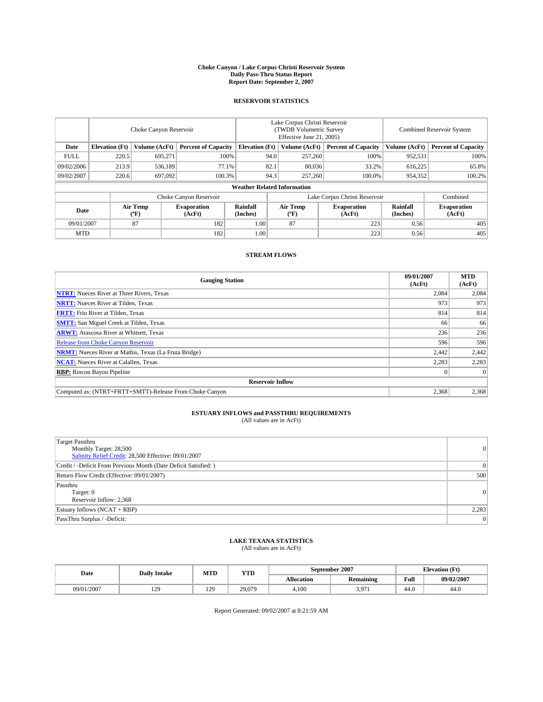#### **Choke Canyon / Lake Corpus Christi Reservoir System Daily Pass-Thru Status Report Report Date: September 2, 2007**

### **RESERVOIR STATISTICS**

|             | Choke Canyon Reservoir |                  |                              |                                    | Lake Corpus Christi Reservoir<br>(TWDB Volumetric Survey<br>Effective June 21, 2005) |                  |                               | <b>Combined Reservoir System</b> |                              |  |
|-------------|------------------------|------------------|------------------------------|------------------------------------|--------------------------------------------------------------------------------------|------------------|-------------------------------|----------------------------------|------------------------------|--|
| Date        | <b>Elevation</b> (Ft)  | Volume (AcFt)    | <b>Percent of Capacity</b>   | <b>Elevation</b> (Ft)              |                                                                                      | Volume (AcFt)    | <b>Percent of Capacity</b>    | Volume (AcFt)                    | <b>Percent of Capacity</b>   |  |
| <b>FULL</b> | 220.5                  | 695.271          |                              | 100%                               | 94.0                                                                                 | 257,260          | 100%                          | 952,531                          | 100%                         |  |
| 09/02/2006  | 213.9                  | 536,189          |                              | 82.1<br>77.1%                      |                                                                                      | 80,036           | 33.2%                         | 616,225                          | 65.8%                        |  |
| 09/02/2007  | 220.6                  | 697,092          | 100.3%                       |                                    | 94.3                                                                                 | 257,260          | 100.0%                        | 954,352                          | 100.2%                       |  |
|             |                        |                  |                              | <b>Weather Related Information</b> |                                                                                      |                  |                               |                                  |                              |  |
|             |                        |                  | Choke Canyon Reservoir       |                                    |                                                                                      |                  | Lake Corpus Christi Reservoir |                                  | Combined                     |  |
| Date        |                        | Air Temp<br>(°F) | <b>Evaporation</b><br>(AcFt) | Rainfall<br>(Inches)               |                                                                                      | Air Temp<br>("F) | <b>Evaporation</b><br>(AcFt)  | Rainfall<br>(Inches)             | <b>Evaporation</b><br>(AcFt) |  |
| 09/01/2007  |                        | 87               | 182                          | 1.00                               |                                                                                      | 87               | 223                           | 0.56                             | 405                          |  |
| <b>MTD</b>  |                        |                  | 182                          | 1.00                               |                                                                                      |                  | 223                           | 0.56                             | 405                          |  |

### **STREAM FLOWS**

| <b>Gauging Station</b>                                       | 09/01/2007<br>(AcFt) | <b>MTD</b><br>(AcFt) |
|--------------------------------------------------------------|----------------------|----------------------|
| <b>NTRT:</b> Nueces River at Three Rivers, Texas             | 2,084                | 2,084                |
| <b>NRTT:</b> Nueces River at Tilden, Texas                   | 973                  | 973                  |
| <b>FRTT:</b> Frio River at Tilden, Texas                     | 814                  | 814                  |
| <b>SMTT:</b> San Miguel Creek at Tilden, Texas               | 66                   | 66                   |
| <b>ARWT:</b> Atascosa River at Whitsett, Texas               | 236                  | 236                  |
| <b>Release from Choke Canyon Reservoir</b>                   | 596                  | 596                  |
| <b>NRMT:</b> Nueces River at Mathis, Texas (La Fruta Bridge) | 2,442                | 2,442                |
| <b>NCAT:</b> Nueces River at Calallen, Texas                 | 2,283                | 2,283                |
| <b>RBP:</b> Rincon Bayou Pipeline                            |                      | $\Omega$             |
| <b>Reservoir Inflow</b>                                      |                      |                      |
| Computed as: (NTRT+FRTT+SMTT)-Release From Choke Canyon      | 2,368                | 2,368                |

## **ESTUARY INFLOWS and PASSTHRU REQUIREMENTS**<br>(All values are in AcFt)

| Target Passthru<br>Monthly Target: 28,500<br>Salinity Relief Credit: 28,500 Effective: 09/01/2007 | 0     |
|---------------------------------------------------------------------------------------------------|-------|
| Credit / -Deficit From Previous Month (Date Deficit Satisfied: )                                  | 0     |
| Return Flow Credit (Effective: 09/01/2007)                                                        | 500   |
| Passthru<br>Target: 0<br>Reservoir Inflow: 2,368                                                  | 0     |
| Estuary Inflows (NCAT + RBP)                                                                      | 2,283 |
| PassThru Surplus / -Deficit:                                                                      | 0     |

# **LAKE TEXANA STATISTICS** (All values are in AcFt)

| Date       | <b>Daily Intake</b> | MTD                   | <b>YTD</b> |                   | September 2007   | <b>Elevation (Ft)</b> |            |
|------------|---------------------|-----------------------|------------|-------------------|------------------|-----------------------|------------|
|            |                     |                       |            | <b>Allocation</b> | <b>Remaining</b> | Full                  | 09/02/2007 |
| 09/01/2007 | 120<br>142          | 120<br>$\overline{1}$ | 29,079     | 4.100             | 3.971            | 44.0                  | 44.0       |

Report Generated: 09/02/2007 at 8:21:59 AM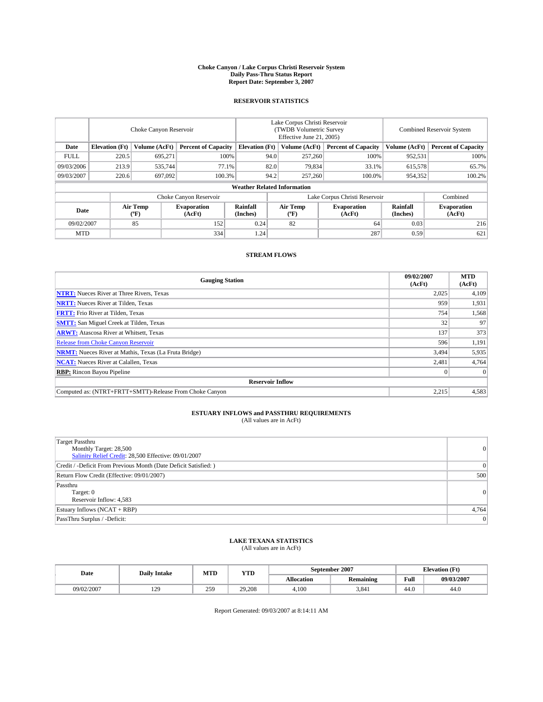#### **Choke Canyon / Lake Corpus Christi Reservoir System Daily Pass-Thru Status Report Report Date: September 3, 2007**

### **RESERVOIR STATISTICS**

|             | Choke Canyon Reservoir             |                  |                              |                                                     | Lake Corpus Christi Reservoir<br>(TWDB Volumetric Survey<br>Effective June 21, 2005) |                              |                              | Combined Reservoir System |                              |  |
|-------------|------------------------------------|------------------|------------------------------|-----------------------------------------------------|--------------------------------------------------------------------------------------|------------------------------|------------------------------|---------------------------|------------------------------|--|
| Date        | <b>Elevation</b> (Ft)              | Volume (AcFt)    |                              | <b>Percent of Capacity</b><br><b>Elevation</b> (Ft) |                                                                                      | Volume (AcFt)                | <b>Percent of Capacity</b>   | Volume (AcFt)             | <b>Percent of Capacity</b>   |  |
| <b>FULL</b> | 220.5                              | 695.271          |                              | 100%                                                | 94.0                                                                                 | 257,260                      | 100%                         | 952,531                   | 100%                         |  |
| 09/03/2006  | 213.9                              | 535.744          | 77.1%                        |                                                     | 82.0                                                                                 | 79,834                       | 33.1%                        | 615,578                   | 65.7%                        |  |
| 09/03/2007  | 220.6                              | 697,092          | 100.3%                       |                                                     | 94.2                                                                                 | 257,260                      | 100.0%                       | 954,352                   | 100.2%                       |  |
|             | <b>Weather Related Information</b> |                  |                              |                                                     |                                                                                      |                              |                              |                           |                              |  |
|             |                                    |                  | Choke Canyon Reservoir       |                                                     | Lake Corpus Christi Reservoir                                                        |                              |                              |                           | Combined                     |  |
| Date        |                                    | Air Temp<br>(°F) | <b>Evaporation</b><br>(AcFt) | Rainfall<br>(Inches)                                |                                                                                      | Air Temp<br>$(^{o}\text{F})$ | <b>Evaporation</b><br>(AcFt) | Rainfall<br>(Inches)      | <b>Evaporation</b><br>(AcFt) |  |
| 09/02/2007  |                                    | 85               | 152                          | 0.24                                                |                                                                                      | 82                           | 64                           | 0.03                      | 216                          |  |
| <b>MTD</b>  |                                    |                  | 334                          | 1.24                                                |                                                                                      |                              | 287                          | 0.59                      | 621                          |  |

### **STREAM FLOWS**

| <b>Gauging Station</b>                                       | 09/02/2007<br>(AcFt) | <b>MTD</b><br>(AcFt) |
|--------------------------------------------------------------|----------------------|----------------------|
| <b>NTRT:</b> Nueces River at Three Rivers, Texas             | 2,025                | 4,109                |
| <b>NRTT:</b> Nueces River at Tilden, Texas                   | 959                  | 1,931                |
| <b>FRTT:</b> Frio River at Tilden, Texas                     | 754                  | 1,568                |
| <b>SMTT:</b> San Miguel Creek at Tilden, Texas               | 32                   | 97                   |
| <b>ARWT:</b> Atascosa River at Whitsett, Texas               | 137                  | 373                  |
| <b>Release from Choke Canyon Reservoir</b>                   | 596                  | 1,191                |
| <b>NRMT:</b> Nueces River at Mathis, Texas (La Fruta Bridge) | 3,494                | 5,935                |
| <b>NCAT:</b> Nueces River at Calallen, Texas                 | 2,481                | 4,764                |
| <b>RBP:</b> Rincon Bayou Pipeline                            |                      | $\Omega$             |
| <b>Reservoir Inflow</b>                                      |                      |                      |
| Computed as: (NTRT+FRTT+SMTT)-Release From Choke Canyon      | 2,215                | 4,583                |

## **ESTUARY INFLOWS and PASSTHRU REQUIREMENTS**<br>(All values are in AcFt)

| Target Passthru<br>Monthly Target: 28,500<br>Salinity Relief Credit: 28,500 Effective: 09/01/2007 | 0     |
|---------------------------------------------------------------------------------------------------|-------|
| Credit / -Deficit From Previous Month (Date Deficit Satisfied: )                                  | 0     |
| Return Flow Credit (Effective: 09/01/2007)                                                        | 500   |
| Passthru<br>Target: 0<br>Reservoir Inflow: 4,583                                                  | 0     |
| Estuary Inflows (NCAT + RBP)                                                                      | 4,764 |
| PassThru Surplus / -Deficit:                                                                      | 0     |

## **LAKE TEXANA STATISTICS** (All values are in AcFt)

| Date       | <b>Daily Intake</b> | MTD | <b>YTD</b> |                   | September 2007   | <b>Elevation (Ft)</b> |            |
|------------|---------------------|-----|------------|-------------------|------------------|-----------------------|------------|
|            |                     |     |            | <b>Allocation</b> | <b>Remaining</b> | Full                  | 09/03/2007 |
| 09/02/2007 | 129                 | 259 | 29.208     | 4.100             | 3.841            | 44.0                  | 44.0       |

Report Generated: 09/03/2007 at 8:14:11 AM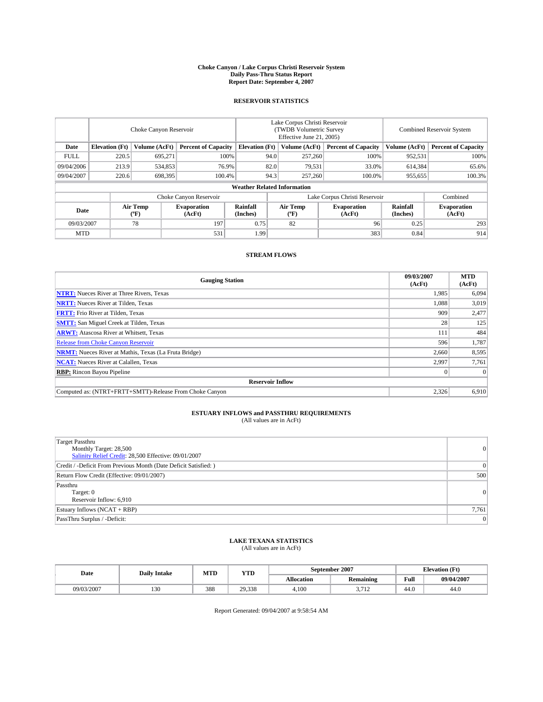#### **Choke Canyon / Lake Corpus Christi Reservoir System Daily Pass-Thru Status Report Report Date: September 4, 2007**

### **RESERVOIR STATISTICS**

|             | Choke Canyon Reservoir             |                  |                              |                       | Lake Corpus Christi Reservoir<br>(TWDB Volumetric Survey<br>Effective June 21, 2005) |                              |                              | Combined Reservoir System |                              |  |
|-------------|------------------------------------|------------------|------------------------------|-----------------------|--------------------------------------------------------------------------------------|------------------------------|------------------------------|---------------------------|------------------------------|--|
| Date        | <b>Elevation</b> (Ft)              | Volume (AcFt)    | <b>Percent of Capacity</b>   | <b>Elevation</b> (Ft) |                                                                                      | Volume (AcFt)                | <b>Percent of Capacity</b>   | Volume (AcFt)             | <b>Percent of Capacity</b>   |  |
| <b>FULL</b> | 220.5                              | 695.271          | 100%                         |                       | 94.0                                                                                 | 257,260                      | 100%                         | 952,531                   | 100%                         |  |
| 09/04/2006  | 213.9                              | 534,853          | 76.9%                        |                       | 82.0                                                                                 | 79,531                       | 33.0%                        | 614,384                   | 65.6%                        |  |
| 09/04/2007  | 220.6                              | 698,395          | 100.4%                       | 94.3                  |                                                                                      | 257,260                      | 100.0%                       | 955,655                   | 100.3%                       |  |
|             | <b>Weather Related Information</b> |                  |                              |                       |                                                                                      |                              |                              |                           |                              |  |
|             |                                    |                  | Choke Canyon Reservoir       |                       | Lake Corpus Christi Reservoir                                                        |                              |                              |                           | Combined                     |  |
| Date        |                                    | Air Temp<br>(°F) | <b>Evaporation</b><br>(AcFt) | Rainfall<br>(Inches)  |                                                                                      | Air Temp<br>$(^{o}\text{F})$ | <b>Evaporation</b><br>(AcFt) | Rainfall<br>(Inches)      | <b>Evaporation</b><br>(AcFt) |  |
| 09/03/2007  |                                    | 78               | 197                          | 0.75                  |                                                                                      | 82                           | 96                           | 0.25                      | 293                          |  |
| <b>MTD</b>  |                                    |                  | 531                          | 1.99                  |                                                                                      |                              | 383                          | 0.84                      | 914                          |  |

### **STREAM FLOWS**

| <b>Gauging Station</b>                                       | 09/03/2007<br>(AcFt) | <b>MTD</b><br>(AcFt) |
|--------------------------------------------------------------|----------------------|----------------------|
| <b>NTRT:</b> Nueces River at Three Rivers, Texas             | 1,985                | 6,094                |
| <b>NRTT:</b> Nueces River at Tilden, Texas                   | 1.088                | 3,019                |
| <b>FRTT:</b> Frio River at Tilden, Texas                     | 909                  | 2,477                |
| <b>SMTT:</b> San Miguel Creek at Tilden, Texas               | 28                   | 125                  |
| <b>ARWT:</b> Atascosa River at Whitsett, Texas               | 111                  | 484                  |
| <b>Release from Choke Canyon Reservoir</b>                   | 596                  | 1,787                |
| <b>NRMT:</b> Nueces River at Mathis, Texas (La Fruta Bridge) | 2,660                | 8,595                |
| <b>NCAT:</b> Nueces River at Calallen, Texas                 | 2,997                | 7,761                |
| <b>RBP:</b> Rincon Bayou Pipeline                            |                      | $\Omega$             |
| <b>Reservoir Inflow</b>                                      |                      |                      |
| Computed as: (NTRT+FRTT+SMTT)-Release From Choke Canyon      | 2,326                | 6.910                |

## **ESTUARY INFLOWS and PASSTHRU REQUIREMENTS**<br>(All values are in AcFt)

| Target Passthru<br>Monthly Target: 28,500<br>Salinity Relief Credit: 28,500 Effective: 09/01/2007 | 0     |
|---------------------------------------------------------------------------------------------------|-------|
| Credit / -Deficit From Previous Month (Date Deficit Satisfied: )                                  | 0     |
| Return Flow Credit (Effective: 09/01/2007)                                                        | 500   |
| Passthru<br>Target: 0<br>Reservoir Inflow: 6,910                                                  | 0     |
| Estuary Inflows (NCAT + RBP)                                                                      | 7,761 |
| PassThru Surplus / -Deficit:                                                                      | 0     |

## **LAKE TEXANA STATISTICS** (All values are in AcFt)

| Date       | <b>Daily Intake</b> | MTD | <b>YTD</b> | September 2007    |                               | <b>Elevation (Ft)</b> |            |
|------------|---------------------|-----|------------|-------------------|-------------------------------|-----------------------|------------|
|            |                     |     |            | <b>Allocation</b> | <b>Remaining</b>              | Full                  | 09/04/2007 |
| 09/03/2007 | 130                 | 388 | 29,338     | 4.100             | $\sim$ $\sim$<br>ى د<br>1 T L | 44.0                  | 44.0       |

Report Generated: 09/04/2007 at 9:58:54 AM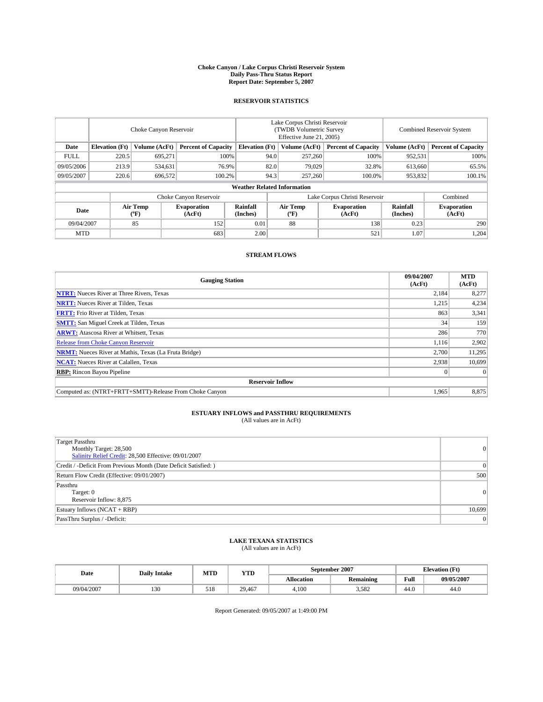#### **Choke Canyon / Lake Corpus Christi Reservoir System Daily Pass-Thru Status Report Report Date: September 5, 2007**

### **RESERVOIR STATISTICS**

|             | Choke Canyon Reservoir |                  |                              |                                                     | Lake Corpus Christi Reservoir<br>(TWDB Volumetric Survey<br>Effective June 21, 2005) |                  |                              | <b>Combined Reservoir System</b> |                              |  |
|-------------|------------------------|------------------|------------------------------|-----------------------------------------------------|--------------------------------------------------------------------------------------|------------------|------------------------------|----------------------------------|------------------------------|--|
| Date        | <b>Elevation</b> (Ft)  | Volume (AcFt)    |                              | <b>Percent of Capacity</b><br><b>Elevation</b> (Ft) |                                                                                      | Volume (AcFt)    | <b>Percent of Capacity</b>   | Volume (AcFt)                    | <b>Percent of Capacity</b>   |  |
| <b>FULL</b> | 220.5                  | 695.271          |                              | 100%                                                | 94.0                                                                                 | 257,260          | 100%                         | 952,531                          | 100%                         |  |
| 09/05/2006  | 213.9                  | 534,631          |                              | 76.9%                                               | 82.0                                                                                 | 79.029           | 32.8%                        | 613,660                          | 65.5%                        |  |
| 09/05/2007  | 220.6                  | 696,572          | 100.2%                       |                                                     | 94.3                                                                                 | 257,260          | 100.0%                       | 953,832                          | $100.1\%$                    |  |
|             |                        |                  |                              | <b>Weather Related Information</b>                  |                                                                                      |                  |                              |                                  |                              |  |
|             |                        |                  | Choke Canyon Reservoir       |                                                     | Lake Corpus Christi Reservoir                                                        |                  |                              |                                  | Combined                     |  |
| Date        |                        | Air Temp<br>(°F) | <b>Evaporation</b><br>(AcFt) | Rainfall<br>(Inches)                                |                                                                                      | Air Temp<br>("F) | <b>Evaporation</b><br>(AcFt) | Rainfall<br>(Inches)             | <b>Evaporation</b><br>(AcFt) |  |
| 09/04/2007  |                        | 85               | 152                          | 0.01                                                |                                                                                      | 88               | 138                          | 0.23                             | 290                          |  |
| <b>MTD</b>  |                        |                  | 683                          | 2.00                                                |                                                                                      |                  | 521                          | 1.07                             | 1,204                        |  |

### **STREAM FLOWS**

| <b>Gauging Station</b>                                       | 09/04/2007<br>(AcFt) | <b>MTD</b><br>(AcFt) |
|--------------------------------------------------------------|----------------------|----------------------|
| <b>NTRT:</b> Nueces River at Three Rivers, Texas             | 2,184                | 8,277                |
| <b>NRTT:</b> Nueces River at Tilden, Texas                   | 1,215                | 4,234                |
| <b>FRTT:</b> Frio River at Tilden, Texas                     | 863                  | 3,341                |
| <b>SMTT:</b> San Miguel Creek at Tilden, Texas               | 34                   | 159                  |
| <b>ARWT:</b> Atascosa River at Whitsett, Texas               | 286                  | 770                  |
| <b>Release from Choke Canyon Reservoir</b>                   | 1,116                | 2,902                |
| <b>NRMT:</b> Nueces River at Mathis, Texas (La Fruta Bridge) | 2.700                | 11,295               |
| <b>NCAT:</b> Nueces River at Calallen, Texas                 | 2,938                | 10.699               |
| <b>RBP:</b> Rincon Bayou Pipeline                            |                      | $\Omega$             |
| <b>Reservoir Inflow</b>                                      |                      |                      |
| Computed as: (NTRT+FRTT+SMTT)-Release From Choke Canyon      | 1,965                | 8,875                |

## **ESTUARY INFLOWS and PASSTHRU REQUIREMENTS**<br>(All values are in AcFt)

| <b>Target Passthru</b><br>Monthly Target: 28,500<br>Salinity Relief Credit: 28,500 Effective: 09/01/2007 | $\Omega$        |
|----------------------------------------------------------------------------------------------------------|-----------------|
| Credit / -Deficit From Previous Month (Date Deficit Satisfied: )                                         | $\vert 0 \vert$ |
| Return Flow Credit (Effective: 09/01/2007)                                                               | 500             |
| Passthru<br>Target: 0<br>Reservoir Inflow: 8,875                                                         | $\Omega$        |
| Estuary Inflows (NCAT + RBP)                                                                             | 10,699          |
| PassThru Surplus / -Deficit:                                                                             | $\Omega$        |

## **LAKE TEXANA STATISTICS** (All values are in AcFt)

| Date       | <b>Daily Intake</b> | MTD | <b>YTD</b> |            | September 2007   | <b>Elevation</b> (Ft) |            |
|------------|---------------------|-----|------------|------------|------------------|-----------------------|------------|
|            |                     |     |            | Allocation | <b>Remaining</b> | Full                  | 09/05/2007 |
| 09/04/2007 | 130                 | 518 | 29.467     | 4.100      | 3.582            | 44.0                  | 44.0       |

Report Generated: 09/05/2007 at 1:49:00 PM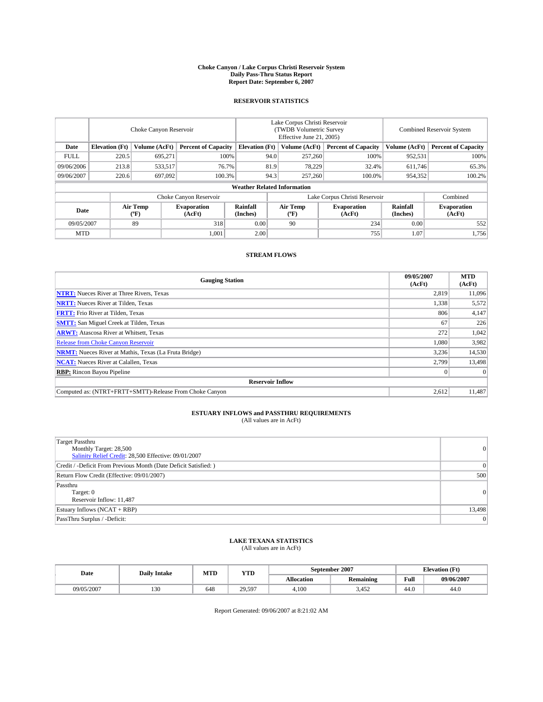#### **Choke Canyon / Lake Corpus Christi Reservoir System Daily Pass-Thru Status Report Report Date: September 6, 2007**

### **RESERVOIR STATISTICS**

|             | Choke Canyon Reservoir             |                               |                              |                                                     | Lake Corpus Christi Reservoir<br>(TWDB Volumetric Survey<br>Effective June 21, 2005) |                           |                              |                      | Combined Reservoir System    |  |  |
|-------------|------------------------------------|-------------------------------|------------------------------|-----------------------------------------------------|--------------------------------------------------------------------------------------|---------------------------|------------------------------|----------------------|------------------------------|--|--|
| Date        | <b>Elevation</b> (Ft)              | Volume (AcFt)                 |                              | <b>Percent of Capacity</b><br><b>Elevation</b> (Ft) |                                                                                      | Volume (AcFt)             | <b>Percent of Capacity</b>   | Volume (AcFt)        | <b>Percent of Capacity</b>   |  |  |
| <b>FULL</b> | 220.5                              | 695.271                       |                              | 100%                                                | 94.0                                                                                 | 257,260                   | 100%                         | 952,531              | 100%                         |  |  |
| 09/06/2006  | 213.8                              | 533,517                       | 76.7%                        |                                                     | 81.9                                                                                 | 78,229                    | 32.4%                        | 611,746              | 65.3%                        |  |  |
| 09/06/2007  | 220.6                              | 697,092                       | 100.3%                       |                                                     | 94.3                                                                                 | 257,260                   | 100.0%                       | 954,352              | 100.2%                       |  |  |
|             | <b>Weather Related Information</b> |                               |                              |                                                     |                                                                                      |                           |                              |                      |                              |  |  |
|             |                                    | Lake Corpus Christi Reservoir |                              |                                                     |                                                                                      | Combined                  |                              |                      |                              |  |  |
| Date        |                                    | Air Temp<br>(°F)              | <b>Evaporation</b><br>(AcFt) | Rainfall<br>(Inches)                                |                                                                                      | Air Temp<br>$^{\circ}$ F) | <b>Evaporation</b><br>(AcFt) | Rainfall<br>(Inches) | <b>Evaporation</b><br>(AcFt) |  |  |
| 09/05/2007  |                                    | 89                            | 318                          | 0.00                                                |                                                                                      | 90                        | 234                          | 0.00                 | 552                          |  |  |
| <b>MTD</b>  |                                    |                               | 1,001                        | 2.00                                                |                                                                                      |                           | 755                          | 1.07                 | 1,756                        |  |  |

### **STREAM FLOWS**

| <b>Gauging Station</b>                                       | 09/05/2007<br>(AcFt) | <b>MTD</b><br>(AcFt) |
|--------------------------------------------------------------|----------------------|----------------------|
| <b>NTRT:</b> Nueces River at Three Rivers, Texas             | 2,819                | 11,096               |
| <b>NRTT:</b> Nueces River at Tilden, Texas                   | 1,338                | 5,572                |
| <b>FRTT:</b> Frio River at Tilden, Texas                     | 806                  | 4,147                |
| <b>SMTT:</b> San Miguel Creek at Tilden, Texas               | 67                   | 226                  |
| <b>ARWT:</b> Atascosa River at Whitsett, Texas               | 272                  | 1,042                |
| <b>Release from Choke Canyon Reservoir</b>                   | 1,080                | 3,982                |
| <b>NRMT:</b> Nueces River at Mathis, Texas (La Fruta Bridge) | 3,236                | 14,530               |
| <b>NCAT:</b> Nueces River at Calallen, Texas                 | 2,799                | 13,498               |
| <b>RBP:</b> Rincon Bayou Pipeline                            |                      | $\Omega$             |
| <b>Reservoir Inflow</b>                                      |                      |                      |
| Computed as: (NTRT+FRTT+SMTT)-Release From Choke Canyon      | 2,612                | 11.487               |

## **ESTUARY INFLOWS and PASSTHRU REQUIREMENTS**<br>(All values are in AcFt)

| <b>Target Passthru</b><br>Monthly Target: 28,500<br>Salinity Relief Credit: 28,500 Effective: 09/01/2007 | $\Omega$ |
|----------------------------------------------------------------------------------------------------------|----------|
| Credit / -Deficit From Previous Month (Date Deficit Satisfied: )                                         | $\Omega$ |
| Return Flow Credit (Effective: 09/01/2007)                                                               | 500      |
| Passthru<br>Target: 0<br>Reservoir Inflow: 11,487                                                        | $\Omega$ |
| Estuary Inflows (NCAT + RBP)                                                                             | 13,498   |
| PassThru Surplus / -Deficit:                                                                             | 0        |

## **LAKE TEXANA STATISTICS** (All values are in AcFt)

| Date       | <b>Daily Intake</b> | MTD | <b>YTD</b>            |            | September 2007 | <b>Elevation</b> (Ft) |            |
|------------|---------------------|-----|-----------------------|------------|----------------|-----------------------|------------|
|            |                     |     |                       | Allocation | Remaining      | Full                  | 09/06/2007 |
| 09/05/2007 | 130                 | 648 | 29.597<br><i>_,.,</i> | 4.100      | 3.452          | 44.0                  | 44.0       |

Report Generated: 09/06/2007 at 8:21:02 AM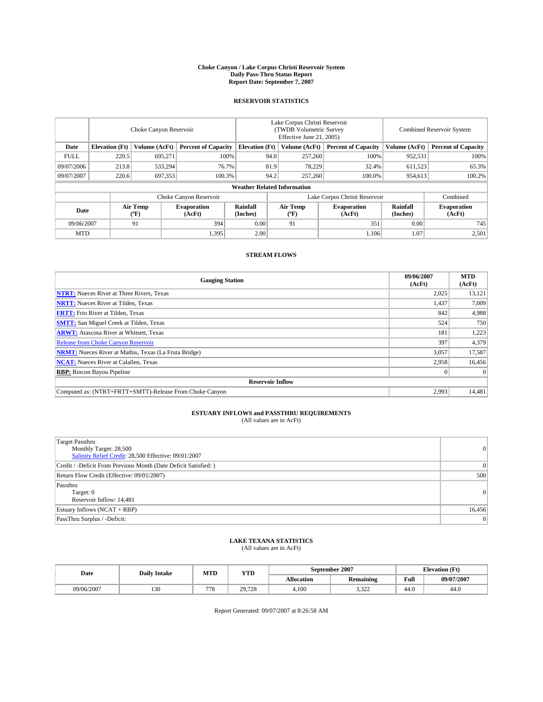#### **Choke Canyon / Lake Corpus Christi Reservoir System Daily Pass-Thru Status Report Report Date: September 7, 2007**

### **RESERVOIR STATISTICS**

|             | Choke Canyon Reservoir             |                  |                              |                                                     | Lake Corpus Christi Reservoir<br>(TWDB Volumetric Survey<br>Effective June 21, 2005) |                           |                               |                      | Combined Reservoir System    |  |  |
|-------------|------------------------------------|------------------|------------------------------|-----------------------------------------------------|--------------------------------------------------------------------------------------|---------------------------|-------------------------------|----------------------|------------------------------|--|--|
| Date        | <b>Elevation</b> (Ft)              | Volume (AcFt)    |                              | <b>Percent of Capacity</b><br><b>Elevation</b> (Ft) |                                                                                      | Volume (AcFt)             | <b>Percent of Capacity</b>    | Volume (AcFt)        | <b>Percent of Capacity</b>   |  |  |
| <b>FULL</b> | 220.5                              | 695.271          |                              | 100%                                                | 94.0                                                                                 | 257,260                   | 100%                          | 952,531              | 100%                         |  |  |
| 09/07/2006  | 213.8                              | 533,294          | 76.7%                        |                                                     | 81.9                                                                                 | 78,229                    | 32.4%                         | 611,523              | 65.3%                        |  |  |
| 09/07/2007  | 220.6                              | 697,353          | 100.3%                       |                                                     | 94.2                                                                                 | 257,260                   | 100.0%                        | 954,613              | 100.2%                       |  |  |
|             | <b>Weather Related Information</b> |                  |                              |                                                     |                                                                                      |                           |                               |                      |                              |  |  |
|             |                                    |                  | Choke Canyon Reservoir       |                                                     |                                                                                      |                           | Lake Corpus Christi Reservoir |                      | Combined                     |  |  |
| Date        |                                    | Air Temp<br>(°F) | <b>Evaporation</b><br>(AcFt) | Rainfall<br>(Inches)                                |                                                                                      | Air Temp<br>$^{\circ}$ F) | <b>Evaporation</b><br>(AcFt)  | Rainfall<br>(Inches) | <b>Evaporation</b><br>(AcFt) |  |  |
| 09/06/2007  |                                    | 91               | 394                          | 0.00                                                |                                                                                      | 91                        | 351                           | 0.00                 | 745                          |  |  |
| <b>MTD</b>  |                                    |                  | 1,395                        | 2.00                                                |                                                                                      |                           | 1.106                         | 1.07                 | 2,501                        |  |  |

### **STREAM FLOWS**

| <b>Gauging Station</b>                                       | 09/06/2007<br>(AcFt) | <b>MTD</b><br>(AcFt) |
|--------------------------------------------------------------|----------------------|----------------------|
| <b>NTRT:</b> Nueces River at Three Rivers, Texas             | 2,025                | 13,121               |
| <b>NRTT:</b> Nueces River at Tilden, Texas                   | 1,437                | 7.009                |
| <b>FRTT:</b> Frio River at Tilden, Texas                     | 842                  | 4,988                |
| <b>SMTT:</b> San Miguel Creek at Tilden, Texas               | 524                  | 750                  |
| <b>ARWT:</b> Atascosa River at Whitsett, Texas               | 181                  | 1,223                |
| <b>Release from Choke Canyon Reservoir</b>                   | 397                  | 4,379                |
| <b>NRMT:</b> Nueces River at Mathis, Texas (La Fruta Bridge) | 3,057                | 17,587               |
| <b>NCAT:</b> Nueces River at Calallen, Texas                 | 2,958                | 16,456               |
| <b>RBP:</b> Rincon Bayou Pipeline                            |                      | $\Omega$             |
| <b>Reservoir Inflow</b>                                      |                      |                      |
| Computed as: (NTRT+FRTT+SMTT)-Release From Choke Canyon      | 2,993                | 14,481               |

## **ESTUARY INFLOWS and PASSTHRU REQUIREMENTS**<br>(All values are in AcFt)

| <b>Target Passthru</b><br>Monthly Target: 28,500<br>Salinity Relief Credit: 28,500 Effective: 09/01/2007 | 0      |
|----------------------------------------------------------------------------------------------------------|--------|
| Credit / -Deficit From Previous Month (Date Deficit Satisfied: )                                         | 0      |
| Return Flow Credit (Effective: 09/01/2007)                                                               | 500    |
| Passthru<br>Target: 0<br>Reservoir Inflow: 14,481                                                        | 0      |
| Estuary Inflows (NCAT + RBP)                                                                             | 16,456 |
| PassThru Surplus / -Deficit:                                                                             | 0      |

## **LAKE TEXANA STATISTICS** (All values are in AcFt)

| Date       | <b>Daily Intake</b> | MTD | <b>YTD</b> |                   | September 2007   | <b>Elevation (Ft)</b> |            |
|------------|---------------------|-----|------------|-------------------|------------------|-----------------------|------------|
|            |                     |     |            | <b>Allocation</b> | <b>Remaining</b> | Full                  | 09/07/2007 |
| 09/06/2007 | 130                 | 77  | 29.728     | 4.100             | 0.222<br>ے بے د  | 44.0                  | 44.0       |

Report Generated: 09/07/2007 at 8:26:58 AM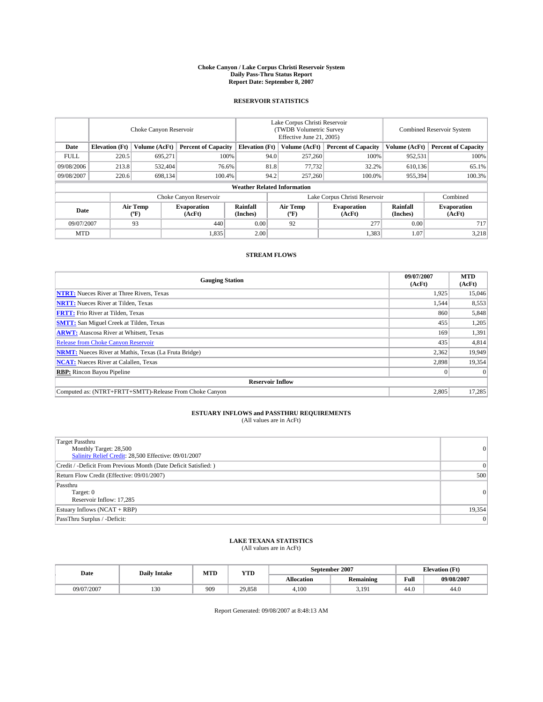#### **Choke Canyon / Lake Corpus Christi Reservoir System Daily Pass-Thru Status Report Report Date: September 8, 2007**

### **RESERVOIR STATISTICS**

|                        | Choke Canyon Reservoir             |                  |                              |                                                     | Lake Corpus Christi Reservoir<br>(TWDB Volumetric Survey<br>Effective June 21, 2005) |                              |                               |                      | Combined Reservoir System    |  |  |
|------------------------|------------------------------------|------------------|------------------------------|-----------------------------------------------------|--------------------------------------------------------------------------------------|------------------------------|-------------------------------|----------------------|------------------------------|--|--|
| Date                   | <b>Elevation</b> (Ft)              | Volume (AcFt)    |                              | <b>Percent of Capacity</b><br><b>Elevation</b> (Ft) |                                                                                      | Volume (AcFt)                | <b>Percent of Capacity</b>    | Volume (AcFt)        | <b>Percent of Capacity</b>   |  |  |
| <b>FULL</b>            | 220.5                              | 695.271          |                              | 100%                                                | 94.0                                                                                 | 257,260                      | 100%                          | 952,531              | 100%                         |  |  |
| 09/08/2006             | 213.8                              | 532,404          | 76.6%                        |                                                     | 81.8                                                                                 | 77,732                       | 32.2%                         | 610,136              | 65.1%                        |  |  |
| 09/08/2007             | 220.6                              | 698,134          | 100.4%                       |                                                     | 94.2                                                                                 | 257,260                      | 100.0%                        | 955,394              | 100.3%                       |  |  |
|                        | <b>Weather Related Information</b> |                  |                              |                                                     |                                                                                      |                              |                               |                      |                              |  |  |
| Choke Canyon Reservoir |                                    |                  |                              |                                                     |                                                                                      |                              | Lake Corpus Christi Reservoir |                      | Combined                     |  |  |
| Date                   |                                    | Air Temp<br>(°F) | <b>Evaporation</b><br>(AcFt) | Rainfall<br>(Inches)                                |                                                                                      | Air Temp<br>$(^{o}\text{F})$ | <b>Evaporation</b><br>(AcFt)  | Rainfall<br>(Inches) | <b>Evaporation</b><br>(AcFt) |  |  |
| 09/07/2007             |                                    | 93               | 440                          | 0.00                                                |                                                                                      | 92                           | 277                           | 0.00                 | 717                          |  |  |
| <b>MTD</b>             |                                    |                  | 1,835                        | 2.00                                                |                                                                                      |                              | 1,383                         | 1.07                 | 3,218                        |  |  |

### **STREAM FLOWS**

| <b>Gauging Station</b>                                       | 09/07/2007<br>(AcFt) | <b>MTD</b><br>(AcFt) |
|--------------------------------------------------------------|----------------------|----------------------|
| <b>NTRT:</b> Nueces River at Three Rivers, Texas             | 1,925                | 15,046               |
| <b>NRTT:</b> Nueces River at Tilden, Texas                   | 1,544                | 8,553                |
| <b>FRTT:</b> Frio River at Tilden, Texas                     | 860                  | 5,848                |
| <b>SMTT:</b> San Miguel Creek at Tilden, Texas               | 455                  | 1,205                |
| <b>ARWT:</b> Atascosa River at Whitsett, Texas               | 169                  | 1,391                |
| <b>Release from Choke Canyon Reservoir</b>                   | 435                  | 4,814                |
| <b>NRMT:</b> Nueces River at Mathis, Texas (La Fruta Bridge) | 2,362                | 19,949               |
| <b>NCAT:</b> Nueces River at Calallen, Texas                 | 2,898                | 19,354               |
| <b>RBP:</b> Rincon Bayou Pipeline                            |                      | $\Omega$             |
| <b>Reservoir Inflow</b>                                      |                      |                      |
| Computed as: (NTRT+FRTT+SMTT)-Release From Choke Canyon      | 2,805                | 17,285               |

## **ESTUARY INFLOWS and PASSTHRU REQUIREMENTS**<br>(All values are in AcFt)

| <b>Target Passthru</b><br>Monthly Target: 28,500<br>Salinity Relief Credit: 28,500 Effective: 09/01/2007 | 0      |
|----------------------------------------------------------------------------------------------------------|--------|
| Credit / -Deficit From Previous Month (Date Deficit Satisfied: )                                         | 0      |
| Return Flow Credit (Effective: 09/01/2007)                                                               | 500    |
| Passthru<br>Target: 0<br>Reservoir Inflow: 17,285                                                        | 0      |
| Estuary Inflows (NCAT + RBP)                                                                             | 19,354 |
| PassThru Surplus / -Deficit:                                                                             | 0      |

## **LAKE TEXANA STATISTICS** (All values are in AcFt)

| Date       | <b>Daily Intake</b> | MTD | <b>YTD</b> |            | September 2007 | <b>Elevation</b> (Ft) |            |
|------------|---------------------|-----|------------|------------|----------------|-----------------------|------------|
|            |                     |     |            | Allocation | Remaining      | Full                  | 09/08/2007 |
| 09/07/2007 | 130                 | 909 | 29.858     | 4.100      | 3.19<br>3,1/2  | 44.0                  | 44.0       |

Report Generated: 09/08/2007 at 8:48:13 AM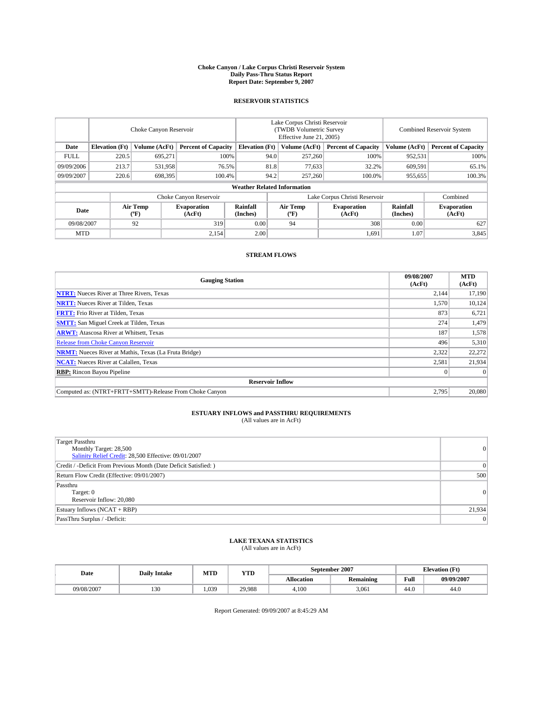#### **Choke Canyon / Lake Corpus Christi Reservoir System Daily Pass-Thru Status Report Report Date: September 9, 2007**

### **RESERVOIR STATISTICS**

|             | Choke Canyon Reservoir |                  |                              |                                                     | Lake Corpus Christi Reservoir<br>(TWDB Volumetric Survey<br>Effective June 21, 2005) |                              |                              |                      | Combined Reservoir System    |  |  |
|-------------|------------------------|------------------|------------------------------|-----------------------------------------------------|--------------------------------------------------------------------------------------|------------------------------|------------------------------|----------------------|------------------------------|--|--|
| Date        | <b>Elevation</b> (Ft)  | Volume (AcFt)    |                              | <b>Percent of Capacity</b><br><b>Elevation</b> (Ft) |                                                                                      | Volume (AcFt)                | <b>Percent of Capacity</b>   | Volume (AcFt)        | <b>Percent of Capacity</b>   |  |  |
| <b>FULL</b> | 220.5                  | 695.271          |                              | 100%                                                | 94.0                                                                                 | 257,260                      | 100%                         | 952,531              | 100%                         |  |  |
| 09/09/2006  | 213.7                  | 531,958          | 76.5%                        |                                                     | 81.8                                                                                 | 77,633                       | 32.2%                        | 609,591              | 65.1%                        |  |  |
| 09/09/2007  | 220.6                  | 698,395          | 100.4%                       |                                                     | 94.2                                                                                 | 257,260                      | 100.0%                       | 955,655              | 100.3%                       |  |  |
|             |                        |                  |                              | <b>Weather Related Information</b>                  |                                                                                      |                              |                              |                      |                              |  |  |
|             |                        |                  | Choke Canyon Reservoir       |                                                     | Lake Corpus Christi Reservoir                                                        |                              |                              |                      | Combined                     |  |  |
| Date        |                        | Air Temp<br>(°F) | <b>Evaporation</b><br>(AcFt) | Rainfall<br>(Inches)                                |                                                                                      | Air Temp<br>$(^{o}\text{F})$ | <b>Evaporation</b><br>(AcFt) | Rainfall<br>(Inches) | <b>Evaporation</b><br>(AcFt) |  |  |
| 09/08/2007  |                        | 92               | 319                          | 0.00                                                |                                                                                      | 94                           | 308                          | 0.00                 | 627                          |  |  |
| <b>MTD</b>  |                        |                  | 2,154                        | 2.00                                                |                                                                                      |                              | 1,691                        | 1.07                 | 3,845                        |  |  |

### **STREAM FLOWS**

| <b>Gauging Station</b>                                       | 09/08/2007<br>(AcFt) | <b>MTD</b><br>(AcFt) |
|--------------------------------------------------------------|----------------------|----------------------|
| <b>NTRT:</b> Nueces River at Three Rivers, Texas             | 2,144                | 17,190               |
| <b>NRTT:</b> Nueces River at Tilden, Texas                   | 1.570                | 10,124               |
| <b>FRTT:</b> Frio River at Tilden, Texas                     | 873                  | 6,721                |
| <b>SMTT:</b> San Miguel Creek at Tilden, Texas               | 274                  | 1,479                |
| <b>ARWT:</b> Atascosa River at Whitsett, Texas               | 187                  | 1,578                |
| <b>Release from Choke Canyon Reservoir</b>                   | 496                  | 5,310                |
| <b>NRMT:</b> Nueces River at Mathis, Texas (La Fruta Bridge) | 2,322                | 22,272               |
| <b>NCAT:</b> Nueces River at Calallen, Texas                 | 2,581                | 21,934               |
| <b>RBP:</b> Rincon Bayou Pipeline                            |                      | $\Omega$             |
| <b>Reservoir Inflow</b>                                      |                      |                      |
| Computed as: (NTRT+FRTT+SMTT)-Release From Choke Canyon      | 2,795                | 20,080               |

## **ESTUARY INFLOWS and PASSTHRU REQUIREMENTS**<br>(All values are in AcFt)

| <b>Target Passthru</b><br>Monthly Target: 28,500<br>Salinity Relief Credit: 28,500 Effective: 09/01/2007 | 0      |
|----------------------------------------------------------------------------------------------------------|--------|
| Credit / -Deficit From Previous Month (Date Deficit Satisfied: )                                         | 0      |
| Return Flow Credit (Effective: 09/01/2007)                                                               | 500    |
| Passthru<br>Target: 0<br>Reservoir Inflow: 20,080                                                        | 0      |
| Estuary Inflows (NCAT + RBP)                                                                             | 21,934 |
| PassThru Surplus / -Deficit:                                                                             | 0      |

## **LAKE TEXANA STATISTICS** (All values are in AcFt)

| Date       | <b>Daily Intake</b> | MTD   | <b>YTD</b> |            | September 2007   | <b>Elevation</b> (Ft) |            |
|------------|---------------------|-------|------------|------------|------------------|-----------------------|------------|
|            |                     |       |            | Allocation | <b>Remaining</b> | Full                  | 09/09/2007 |
| 09/08/2007 | 130                 | 1.039 | 29.988     | 4.100      | 3.061            | 44.0                  | 44.0       |

Report Generated: 09/09/2007 at 8:45:29 AM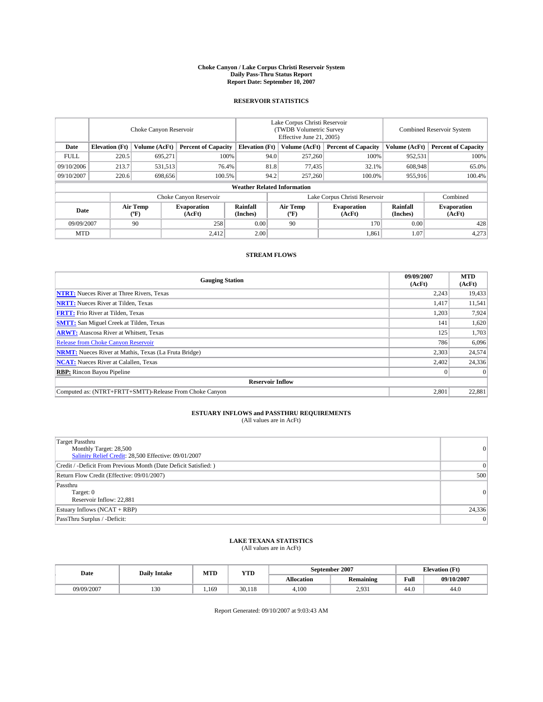#### **Choke Canyon / Lake Corpus Christi Reservoir System Daily Pass-Thru Status Report Report Date: September 10, 2007**

### **RESERVOIR STATISTICS**

|             | Choke Canyon Reservoir             |                  |                              |                       | Lake Corpus Christi Reservoir<br>(TWDB Volumetric Survey<br>Effective June 21, 2005) |                  |                               | <b>Combined Reservoir System</b> |                              |  |
|-------------|------------------------------------|------------------|------------------------------|-----------------------|--------------------------------------------------------------------------------------|------------------|-------------------------------|----------------------------------|------------------------------|--|
| Date        | <b>Elevation</b> (Ft)              | Volume (AcFt)    | <b>Percent of Capacity</b>   | <b>Elevation</b> (Ft) |                                                                                      | Volume (AcFt)    | <b>Percent of Capacity</b>    | Volume (AcFt)                    | <b>Percent of Capacity</b>   |  |
| <b>FULL</b> | 220.5                              | 695.271          |                              | 100%                  | 94.0                                                                                 | 257,260          | 100%                          | 952,531                          | 100%                         |  |
| 09/10/2006  | 213.7                              | 531,513          |                              | 76.4%                 | 81.8                                                                                 | 77,435           | 32.1%                         | 608,948                          | 65.0%                        |  |
| 09/10/2007  | 220.6                              | 698,656          | 100.5%                       |                       | 94.2                                                                                 | 257,260          | 100.0%                        | 955,916                          | 100.4%                       |  |
|             | <b>Weather Related Information</b> |                  |                              |                       |                                                                                      |                  |                               |                                  |                              |  |
|             |                                    |                  | Choke Canyon Reservoir       |                       |                                                                                      |                  | Lake Corpus Christi Reservoir |                                  | Combined                     |  |
| Date        |                                    | Air Temp<br>(°F) | <b>Evaporation</b><br>(AcFt) | Rainfall<br>(Inches)  |                                                                                      | Air Temp<br>("F) | <b>Evaporation</b><br>(AcFt)  | Rainfall<br>(Inches)             | <b>Evaporation</b><br>(AcFt) |  |
| 09/09/2007  |                                    | 90               | 258                          | 0.00                  |                                                                                      | 90               | 170                           | 0.00                             | 428                          |  |
| <b>MTD</b>  |                                    |                  | 2,412                        | 2.00                  |                                                                                      |                  | 1,861                         | 1.07                             | 4,273                        |  |

### **STREAM FLOWS**

| <b>Gauging Station</b>                                       | 09/09/2007<br>(AcFt) | <b>MTD</b><br>(AcFt) |
|--------------------------------------------------------------|----------------------|----------------------|
| <b>NTRT:</b> Nueces River at Three Rivers, Texas             | 2,243                | 19,433               |
| <b>NRTT:</b> Nueces River at Tilden, Texas                   | 1,417                | 11,541               |
| <b>FRTT:</b> Frio River at Tilden, Texas                     | 1,203                | 7,924                |
| <b>SMTT:</b> San Miguel Creek at Tilden, Texas               | 141                  | 1,620                |
| <b>ARWT:</b> Atascosa River at Whitsett, Texas               | 125                  | 1,703                |
| <b>Release from Choke Canyon Reservoir</b>                   | 786                  | 6,096                |
| <b>NRMT:</b> Nueces River at Mathis, Texas (La Fruta Bridge) | 2,303                | 24,574               |
| <b>NCAT:</b> Nueces River at Calallen, Texas                 | 2,402                | 24,336               |
| <b>RBP:</b> Rincon Bayou Pipeline                            |                      | $\Omega$             |
| <b>Reservoir Inflow</b>                                      |                      |                      |
| Computed as: (NTRT+FRTT+SMTT)-Release From Choke Canyon      | 2,801                | 22,881               |

## **ESTUARY INFLOWS and PASSTHRU REQUIREMENTS**<br>(All values are in AcFt)

| <b>Target Passthru</b><br>Monthly Target: 28,500<br>Salinity Relief Credit: 28,500 Effective: 09/01/2007 | 0      |
|----------------------------------------------------------------------------------------------------------|--------|
| Credit / -Deficit From Previous Month (Date Deficit Satisfied: )                                         | 0      |
| Return Flow Credit (Effective: 09/01/2007)                                                               | 500    |
| Passthru<br>Target: 0<br>Reservoir Inflow: 22,881                                                        | 0      |
| Estuary Inflows (NCAT + RBP)                                                                             | 24,336 |
| PassThru Surplus / -Deficit:                                                                             | 0      |

## **LAKE TEXANA STATISTICS** (All values are in AcFt)

| Date       | <b>Daily Intake</b> | MTD  | <b>YTD</b> |                   | September 2007   | <b>Elevation (Ft)</b> |            |
|------------|---------------------|------|------------|-------------------|------------------|-----------------------|------------|
|            |                     |      |            | <b>Allocation</b> | <b>Remaining</b> | Full                  | 09/10/2007 |
| 09/09/2007 | 130                 | .169 | 30.118     | 4.100             | 2.931            | 44.0                  | 44.0       |

Report Generated: 09/10/2007 at 9:03:43 AM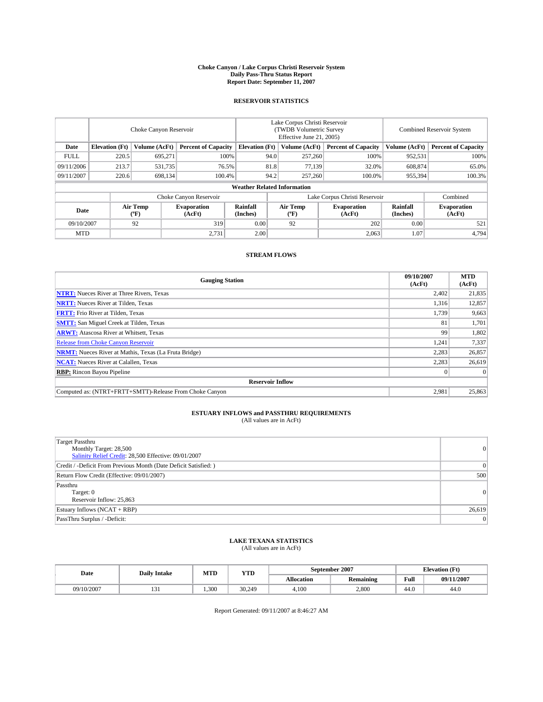#### **Choke Canyon / Lake Corpus Christi Reservoir System Daily Pass-Thru Status Report Report Date: September 11, 2007**

### **RESERVOIR STATISTICS**

|             | Choke Canyon Reservoir             |                  |                              |                                                     | Lake Corpus Christi Reservoir<br>(TWDB Volumetric Survey<br>Effective June 21, 2005) |                           |                               |                      | Combined Reservoir System    |  |  |
|-------------|------------------------------------|------------------|------------------------------|-----------------------------------------------------|--------------------------------------------------------------------------------------|---------------------------|-------------------------------|----------------------|------------------------------|--|--|
| Date        | <b>Elevation</b> (Ft)              | Volume (AcFt)    |                              | <b>Percent of Capacity</b><br><b>Elevation</b> (Ft) |                                                                                      | Volume (AcFt)             | <b>Percent of Capacity</b>    | Volume (AcFt)        | <b>Percent of Capacity</b>   |  |  |
| <b>FULL</b> | 220.5                              | 695.271          |                              | 100%                                                | 94.0                                                                                 | 257,260                   | 100%                          | 952,531              | 100%                         |  |  |
| 09/11/2006  | 213.7                              | 531,735          | 76.5%                        |                                                     | 81.8                                                                                 | 77,139                    | 32.0%                         | 608,874              | 65.0%                        |  |  |
| 09/11/2007  | 220.6                              | 698,134          | 100.4%                       |                                                     | 94.2                                                                                 | 257,260                   | 100.0%                        | 955,394              | 100.3%                       |  |  |
|             | <b>Weather Related Information</b> |                  |                              |                                                     |                                                                                      |                           |                               |                      |                              |  |  |
|             |                                    |                  | Choke Canyon Reservoir       |                                                     |                                                                                      |                           | Lake Corpus Christi Reservoir |                      | Combined                     |  |  |
| Date        |                                    | Air Temp<br>(°F) | <b>Evaporation</b><br>(AcFt) | Rainfall<br>(Inches)                                |                                                                                      | Air Temp<br>$^{\circ}$ F) | <b>Evaporation</b><br>(AcFt)  | Rainfall<br>(Inches) | <b>Evaporation</b><br>(AcFt) |  |  |
| 09/10/2007  |                                    | 92               | 319                          | 0.00                                                |                                                                                      | 92                        | 202                           | 0.00                 | 521                          |  |  |
| <b>MTD</b>  |                                    |                  | 2,731                        | 2.00                                                |                                                                                      |                           | 2,063                         | 1.07                 | 4,794                        |  |  |

### **STREAM FLOWS**

| <b>Gauging Station</b>                                       | 09/10/2007<br>(AcFt) | <b>MTD</b><br>(AcFt) |
|--------------------------------------------------------------|----------------------|----------------------|
| <b>NTRT:</b> Nueces River at Three Rivers, Texas             | 2,402                | 21,835               |
| <b>NRTT:</b> Nueces River at Tilden, Texas                   | 1.316                | 12,857               |
| <b>FRTT:</b> Frio River at Tilden, Texas                     | 1,739                | 9,663                |
| <b>SMTT:</b> San Miguel Creek at Tilden, Texas               | 81                   | 1,701                |
| <b>ARWT:</b> Atascosa River at Whitsett, Texas               | 99                   | 1,802                |
| <b>Release from Choke Canyon Reservoir</b>                   | 1,241                | 7,337                |
| <b>NRMT:</b> Nueces River at Mathis, Texas (La Fruta Bridge) | 2,283                | 26,857               |
| <b>NCAT:</b> Nueces River at Calallen, Texas                 | 2,283                | 26,619               |
| <b>RBP:</b> Rincon Bayou Pipeline                            |                      | $\Omega$             |
| <b>Reservoir Inflow</b>                                      |                      |                      |
| Computed as: (NTRT+FRTT+SMTT)-Release From Choke Canyon      | 2,981                | 25,863               |

## **ESTUARY INFLOWS and PASSTHRU REQUIREMENTS**<br>(All values are in AcFt)

| <b>Target Passthru</b><br>Monthly Target: 28,500<br>Salinity Relief Credit: 28,500 Effective: 09/01/2007 | $\Omega$ |
|----------------------------------------------------------------------------------------------------------|----------|
| Credit / -Deficit From Previous Month (Date Deficit Satisfied: )                                         | $\Omega$ |
| Return Flow Credit (Effective: 09/01/2007)                                                               | 500      |
| Passthru<br>Target: 0<br>Reservoir Inflow: 25,863                                                        | $\Omega$ |
| Estuary Inflows (NCAT + RBP)                                                                             | 26,619   |
| PassThru Surplus / -Deficit:                                                                             | 0        |

## **LAKE TEXANA STATISTICS** (All values are in AcFt)

| Date       | <b>Daily Intake</b> | MTD   | <b>YTD</b> |            | September 2007 | <b>Elevation (Ft)</b> |            |
|------------|---------------------|-------|------------|------------|----------------|-----------------------|------------|
|            |                     |       |            | Allocation | Remaining      | Full                  | 09/11/2007 |
| 09/10/2007 | $\sim$<br>121       | 1.300 | 30.249     | 4.100      | 2.800          | 44.0                  | 44.0       |

Report Generated: 09/11/2007 at 8:46:27 AM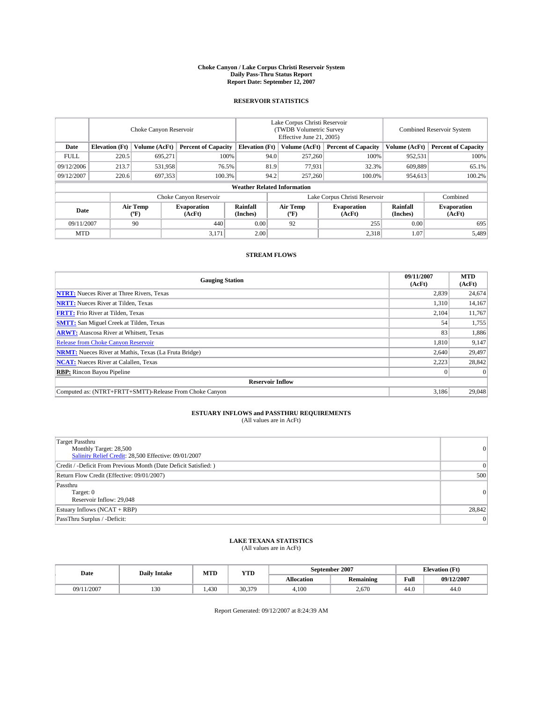#### **Choke Canyon / Lake Corpus Christi Reservoir System Daily Pass-Thru Status Report Report Date: September 12, 2007**

### **RESERVOIR STATISTICS**

|             | Choke Canyon Reservoir |                         |                              |                                    | Lake Corpus Christi Reservoir<br>(TWDB Volumetric Survey<br>Effective June 21, 2005) |                  |                               | Combined Reservoir System |                              |  |
|-------------|------------------------|-------------------------|------------------------------|------------------------------------|--------------------------------------------------------------------------------------|------------------|-------------------------------|---------------------------|------------------------------|--|
| Date        | <b>Elevation</b> (Ft)  | Volume (AcFt)           | <b>Percent of Capacity</b>   | <b>Elevation</b> (Ft)              |                                                                                      | Volume (AcFt)    | <b>Percent of Capacity</b>    | Volume (AcFt)             | <b>Percent of Capacity</b>   |  |
| <b>FULL</b> | 220.5                  | 695.271                 |                              | 100%                               | 94.0                                                                                 | 257,260          | 100%                          | 952,531                   | 100%                         |  |
| 09/12/2006  | 213.7                  | 531,958                 |                              | 81.9<br>76.5%                      |                                                                                      | 77,931           | 32.3%                         | 609,889                   | 65.1%                        |  |
| 09/12/2007  | 220.6                  | 697,353                 | 100.3%                       |                                    | 94.2                                                                                 | 257,260          | 100.0%                        | 954,613                   | 100.2%                       |  |
|             |                        |                         |                              | <b>Weather Related Information</b> |                                                                                      |                  |                               |                           |                              |  |
|             |                        |                         | Choke Canyon Reservoir       |                                    |                                                                                      |                  | Lake Corpus Christi Reservoir |                           | Combined                     |  |
| Date        |                        | <b>Air Temp</b><br>(°F) | <b>Evaporation</b><br>(AcFt) | Rainfall<br>(Inches)               |                                                                                      | Air Temp<br>("F) | <b>Evaporation</b><br>(AcFt)  | Rainfall<br>(Inches)      | <b>Evaporation</b><br>(AcFt) |  |
| 09/11/2007  |                        | 90                      | 440                          | 0.00                               |                                                                                      | 92               | 255                           | 0.00                      | 695                          |  |
| <b>MTD</b>  |                        |                         | 3,171                        | 2.00                               |                                                                                      |                  | 2,318                         | 1.07                      | 5,489                        |  |

### **STREAM FLOWS**

| <b>Gauging Station</b>                                       | 09/11/2007<br>(AcFt) | <b>MTD</b><br>(AcFt) |
|--------------------------------------------------------------|----------------------|----------------------|
| <b>NTRT:</b> Nueces River at Three Rivers, Texas             | 2,839                | 24,674               |
| <b>NRTT:</b> Nueces River at Tilden, Texas                   | 1,310                | 14,167               |
| <b>FRTT:</b> Frio River at Tilden, Texas                     | 2,104                | 11,767               |
| <b>SMTT:</b> San Miguel Creek at Tilden, Texas               | 54                   | 1,755                |
| <b>ARWT:</b> Atascosa River at Whitsett, Texas               | 83                   | 1,886                |
| <b>Release from Choke Canyon Reservoir</b>                   | 1,810                | 9,147                |
| <b>NRMT:</b> Nueces River at Mathis, Texas (La Fruta Bridge) | 2,640                | 29,497               |
| <b>NCAT:</b> Nueces River at Calallen, Texas                 | 2,223                | 28,842               |
| <b>RBP:</b> Rincon Bayou Pipeline                            |                      | $\Omega$             |
| <b>Reservoir Inflow</b>                                      |                      |                      |
| Computed as: (NTRT+FRTT+SMTT)-Release From Choke Canyon      | 3.186                | 29,048               |

# **ESTUARY INFLOWS and PASSTHRU REQUIREMENTS**<br>(All values are in AcFt)

| <b>Target Passthru</b><br>Monthly Target: 28,500<br>Salinity Relief Credit: 28,500 Effective: 09/01/2007 | $\overline{0}$  |
|----------------------------------------------------------------------------------------------------------|-----------------|
| Credit / -Deficit From Previous Month (Date Deficit Satisfied: )                                         | $\vert 0 \vert$ |
| Return Flow Credit (Effective: 09/01/2007)                                                               | 500             |
| Passthru<br>Target: 0<br>Reservoir Inflow: 29,048                                                        | 0               |
| Estuary Inflows (NCAT + RBP)                                                                             | 28,842          |
| PassThru Surplus / -Deficit:                                                                             | 0               |

### **LAKE TEXANA STATISTICS** (All values are in AcFt)

| Date       | <b>Daily Intake</b> | MTD  | <b>YTD</b> |                   | September 2007   | <b>Elevation (Ft)</b> |            |
|------------|---------------------|------|------------|-------------------|------------------|-----------------------|------------|
|            |                     |      |            | <b>Allocation</b> | <b>Remaining</b> | Full                  | 09/12/2007 |
| 09/11/2007 | 130                 | .430 | 30.379     | 4.100             | 2.670            | 44.0                  | 44.0       |

Report Generated: 09/12/2007 at 8:24:39 AM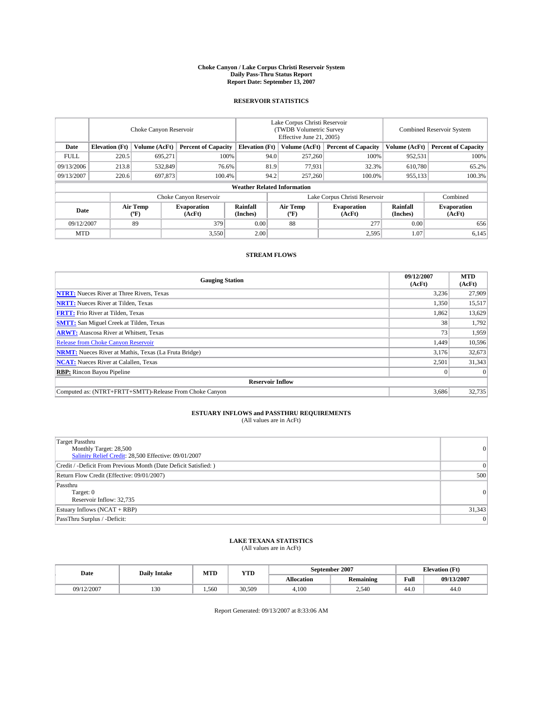#### **Choke Canyon / Lake Corpus Christi Reservoir System Daily Pass-Thru Status Report Report Date: September 13, 2007**

### **RESERVOIR STATISTICS**

|             | Choke Canyon Reservoir |                  |                              |                                    | Lake Corpus Christi Reservoir<br>(TWDB Volumetric Survey<br>Effective June 21, 2005) |                  |                               |                      | <b>Combined Reservoir System</b> |  |  |
|-------------|------------------------|------------------|------------------------------|------------------------------------|--------------------------------------------------------------------------------------|------------------|-------------------------------|----------------------|----------------------------------|--|--|
| Date        | <b>Elevation</b> (Ft)  | Volume (AcFt)    | <b>Percent of Capacity</b>   | <b>Elevation</b> (Ft)              |                                                                                      | Volume (AcFt)    | <b>Percent of Capacity</b>    | Volume (AcFt)        | <b>Percent of Capacity</b>       |  |  |
| <b>FULL</b> | 220.5                  | 695.271          |                              | 100%                               | 94.0                                                                                 | 257,260          | 100%                          | 952,531              | 100%                             |  |  |
| 09/13/2006  | 213.8                  | 532,849          | 76.6%                        |                                    | 81.9                                                                                 | 77,931           | 32.3%                         | 610,780              | 65.2%                            |  |  |
| 09/13/2007  | 220.6                  | 697,873          | 100.4%                       |                                    | 94.2                                                                                 | 257,260          | 100.0%                        | 955,133              | $100.3\%$                        |  |  |
|             |                        |                  |                              | <b>Weather Related Information</b> |                                                                                      |                  |                               |                      |                                  |  |  |
|             |                        |                  | Choke Canyon Reservoir       |                                    |                                                                                      |                  | Lake Corpus Christi Reservoir |                      | Combined                         |  |  |
| Date        |                        | Air Temp<br>(°F) | <b>Evaporation</b><br>(AcFt) | Rainfall<br>(Inches)               |                                                                                      | Air Temp<br>("F) | <b>Evaporation</b><br>(AcFt)  | Rainfall<br>(Inches) | <b>Evaporation</b><br>(AcFt)     |  |  |
| 09/12/2007  |                        | 89               | 379                          | 0.00                               |                                                                                      | 88               | 277                           | 0.00                 | 656                              |  |  |
| <b>MTD</b>  |                        |                  | 3,550                        | 2.00                               |                                                                                      |                  | 2,595                         | 1.07                 | 6,145                            |  |  |

### **STREAM FLOWS**

| <b>Gauging Station</b>                                       | 09/12/2007<br>(AcFt) | <b>MTD</b><br>(AcFt) |
|--------------------------------------------------------------|----------------------|----------------------|
| <b>NTRT:</b> Nueces River at Three Rivers, Texas             | 3,236                | 27,909               |
| <b>NRTT:</b> Nueces River at Tilden, Texas                   | 1,350                | 15,517               |
| <b>FRTT:</b> Frio River at Tilden, Texas                     | 1,862                | 13,629               |
| <b>SMTT:</b> San Miguel Creek at Tilden, Texas               | 38                   | 1,792                |
| <b>ARWT:</b> Atascosa River at Whitsett, Texas               | 73                   | 1,959                |
| <b>Release from Choke Canyon Reservoir</b>                   | 1,449                | 10,596               |
| <b>NRMT:</b> Nueces River at Mathis, Texas (La Fruta Bridge) | 3,176                | 32,673               |
| <b>NCAT:</b> Nueces River at Calallen, Texas                 | 2,501                | 31,343               |
| <b>RBP:</b> Rincon Bayou Pipeline                            |                      | $\Omega$             |
| <b>Reservoir Inflow</b>                                      |                      |                      |
| Computed as: (NTRT+FRTT+SMTT)-Release From Choke Canyon      | 3,686                | 32,735               |

# **ESTUARY INFLOWS and PASSTHRU REQUIREMENTS**<br>(All values are in AcFt)

| <b>Target Passthru</b><br>Monthly Target: 28,500<br>Salinity Relief Credit: 28,500 Effective: 09/01/2007 | 0               |
|----------------------------------------------------------------------------------------------------------|-----------------|
| Credit / -Deficit From Previous Month (Date Deficit Satisfied: )                                         | $\vert 0 \vert$ |
| Return Flow Credit (Effective: 09/01/2007)                                                               | 500             |
| Passthru<br>Target: 0<br>Reservoir Inflow: 32,735                                                        | 0               |
| Estuary Inflows (NCAT + RBP)                                                                             | 31,343          |
| PassThru Surplus / -Deficit:                                                                             | 0               |

## **LAKE TEXANA STATISTICS** (All values are in AcFt)

| Date       | <b>Daily Intake</b> | MTD  | <b>YTD</b> |                   | September 2007   | <b>Elevation (Ft)</b> |            |
|------------|---------------------|------|------------|-------------------|------------------|-----------------------|------------|
|            |                     |      |            | <b>Allocation</b> | <b>Remaining</b> | Full                  | 09/13/2007 |
| 09/12/2007 | 130                 | .560 | 30.509     | 4.100             | 2,540            | 44.0                  | 44.0       |

Report Generated: 09/13/2007 at 8:33:06 AM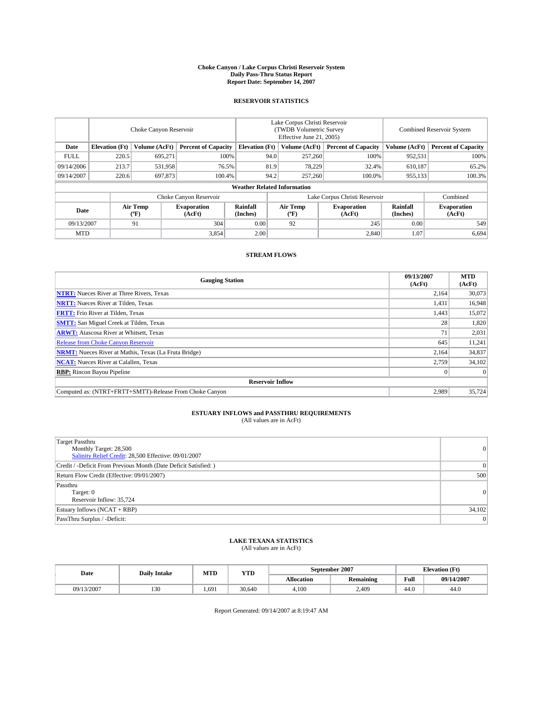#### **Choke Canyon / Lake Corpus Christi Reservoir System Daily Pass-Thru Status Report Report Date: September 14, 2007**

### **RESERVOIR STATISTICS**

|             | Choke Canyon Reservoir             |                  |                              |                       | Lake Corpus Christi Reservoir<br>(TWDB Volumetric Survey<br>Effective June 21, 2005) |                           |                              |                      | Combined Reservoir System    |  |  |
|-------------|------------------------------------|------------------|------------------------------|-----------------------|--------------------------------------------------------------------------------------|---------------------------|------------------------------|----------------------|------------------------------|--|--|
| Date        | <b>Elevation</b> (Ft)              | Volume (AcFt)    | <b>Percent of Capacity</b>   | <b>Elevation</b> (Ft) |                                                                                      | Volume (AcFt)             | <b>Percent of Capacity</b>   | Volume (AcFt)        | <b>Percent of Capacity</b>   |  |  |
| <b>FULL</b> | 220.5                              | 695.271          |                              | 100%                  | 94.0                                                                                 | 257,260                   | 100%                         | 952,531              | 100%                         |  |  |
| 09/14/2006  | 213.7                              | 531,958          | 76.5%                        |                       | 81.9                                                                                 | 78,229                    | 32.4%                        | 610,187              | 65.2%                        |  |  |
| 09/14/2007  | 220.6                              | 697,873          | 100.4%                       |                       | 94.2                                                                                 | 257,260                   | 100.0%                       | 955,133              | 100.3%                       |  |  |
|             | <b>Weather Related Information</b> |                  |                              |                       |                                                                                      |                           |                              |                      |                              |  |  |
|             |                                    |                  | Choke Canyon Reservoir       |                       | Lake Corpus Christi Reservoir                                                        |                           |                              |                      | Combined                     |  |  |
| Date        |                                    | Air Temp<br>(°F) | <b>Evaporation</b><br>(AcFt) | Rainfall<br>(Inches)  |                                                                                      | Air Temp<br>$^{\circ}$ F) | <b>Evaporation</b><br>(AcFt) | Rainfall<br>(Inches) | <b>Evaporation</b><br>(AcFt) |  |  |
| 09/13/2007  |                                    | 91               | 304                          | 0.00                  |                                                                                      | 92                        | 245                          | 0.00                 | 549                          |  |  |
| <b>MTD</b>  |                                    |                  | 3,854                        | 2.00                  |                                                                                      |                           | 2,840                        | 1.07                 | 6,694                        |  |  |

### **STREAM FLOWS**

| <b>Gauging Station</b>                                       | 09/13/2007<br>(AcFt) | <b>MTD</b><br>(AcFt) |
|--------------------------------------------------------------|----------------------|----------------------|
| <b>NTRT:</b> Nueces River at Three Rivers, Texas             | 2,164                | 30,073               |
| <b>NRTT:</b> Nueces River at Tilden, Texas                   | 1,431                | 16,948               |
| <b>FRTT:</b> Frio River at Tilden, Texas                     | 1,443                | 15,072               |
| <b>SMTT:</b> San Miguel Creek at Tilden, Texas               | 28                   | 1,820                |
| <b>ARWT:</b> Atascosa River at Whitsett, Texas               | 71                   | 2,031                |
| <b>Release from Choke Canyon Reservoir</b>                   | 645                  | 11,241               |
| <b>NRMT:</b> Nueces River at Mathis, Texas (La Fruta Bridge) | 2,164                | 34,837               |
| <b>NCAT:</b> Nueces River at Calallen, Texas                 | 2,759                | 34,102               |
| <b>RBP:</b> Rincon Bayou Pipeline                            |                      | $\Omega$             |
| <b>Reservoir Inflow</b>                                      |                      |                      |
| Computed as: (NTRT+FRTT+SMTT)-Release From Choke Canyon      | 2,989                | 35.724               |

## **ESTUARY INFLOWS and PASSTHRU REQUIREMENTS**<br>(All values are in AcFt)

| <b>Target Passthru</b><br>Monthly Target: 28,500<br>Salinity Relief Credit: 28,500 Effective: 09/01/2007 | $\Omega$ |
|----------------------------------------------------------------------------------------------------------|----------|
| Credit / -Deficit From Previous Month (Date Deficit Satisfied: )                                         | $\Omega$ |
| Return Flow Credit (Effective: 09/01/2007)                                                               | 500      |
| Passthru<br>Target: 0<br>Reservoir Inflow: 35,724                                                        | 0        |
| Estuary Inflows (NCAT + RBP)                                                                             | 34,102   |
| PassThru Surplus / -Deficit:                                                                             | 0        |

## **LAKE TEXANA STATISTICS** (All values are in AcFt)

| Date       | <b>Daily Intake</b> | MTD   | YTD    |            | September 2007   | $CT^*$<br><b>Elevation</b><br>u u |            |
|------------|---------------------|-------|--------|------------|------------------|-----------------------------------|------------|
|            |                     |       |        | Allocation | <b>Remaining</b> | Full                              | 09/14/2007 |
| 09/13/2007 | 130                 | 1.691 | 30.640 | 4.100      | 2.409            | 44.0                              | 44.0       |

Report Generated: 09/14/2007 at 8:19:47 AM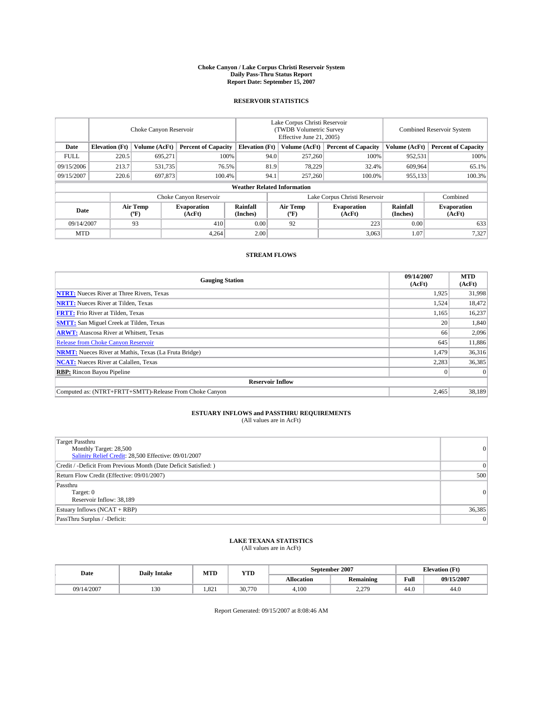#### **Choke Canyon / Lake Corpus Christi Reservoir System Daily Pass-Thru Status Report Report Date: September 15, 2007**

### **RESERVOIR STATISTICS**

|             | Choke Canyon Reservoir             |                  |                              |                       | Lake Corpus Christi Reservoir<br>(TWDB Volumetric Survey<br>Effective June 21, 2005) |                               |                              | <b>Combined Reservoir System</b> |                              |  |
|-------------|------------------------------------|------------------|------------------------------|-----------------------|--------------------------------------------------------------------------------------|-------------------------------|------------------------------|----------------------------------|------------------------------|--|
| Date        | <b>Elevation</b> (Ft)              | Volume (AcFt)    | <b>Percent of Capacity</b>   | <b>Elevation</b> (Ft) |                                                                                      | Volume (AcFt)                 | <b>Percent of Capacity</b>   | Volume (AcFt)                    | <b>Percent of Capacity</b>   |  |
| <b>FULL</b> | 220.5                              | 695.271          |                              | 100%                  | 94.0                                                                                 | 257,260                       | 100%                         | 952,531                          | 100%                         |  |
| 09/15/2006  | 213.7                              | 531,735          |                              | 76.5%                 | 81.9                                                                                 | 78,229                        | 32.4%                        | 609.964                          | 65.1%                        |  |
| 09/15/2007  | 220.6                              | 697,873          | 100.4%                       |                       | 94.1                                                                                 | 257,260                       | 100.0%                       | 955,133                          | 100.3%                       |  |
|             | <b>Weather Related Information</b> |                  |                              |                       |                                                                                      |                               |                              |                                  |                              |  |
|             |                                    |                  | Choke Canyon Reservoir       |                       |                                                                                      | Lake Corpus Christi Reservoir |                              |                                  | Combined                     |  |
| Date        |                                    | Air Temp<br>(°F) | <b>Evaporation</b><br>(AcFt) | Rainfall<br>(Inches)  |                                                                                      | Air Temp<br>("F)              | <b>Evaporation</b><br>(AcFt) | Rainfall<br>(Inches)             | <b>Evaporation</b><br>(AcFt) |  |
| 09/14/2007  |                                    | 93               | 410                          | 0.00                  |                                                                                      | 92                            | 223                          | 0.00                             | 633                          |  |
| <b>MTD</b>  |                                    |                  | 4,264                        | 2.00                  |                                                                                      |                               | 3,063                        | 1.07                             | 7,327                        |  |

### **STREAM FLOWS**

| <b>Gauging Station</b>                                       | 09/14/2007<br>(AcFt) | <b>MTD</b><br>(AcFt) |
|--------------------------------------------------------------|----------------------|----------------------|
| <b>NTRT:</b> Nueces River at Three Rivers, Texas             | 1,925                | 31,998               |
| <b>NRTT:</b> Nueces River at Tilden, Texas                   | 1,524                | 18,472               |
| <b>FRTT:</b> Frio River at Tilden, Texas                     | 1,165                | 16,237               |
| <b>SMTT:</b> San Miguel Creek at Tilden, Texas               | 20                   | 1,840                |
| <b>ARWT:</b> Atascosa River at Whitsett, Texas               | 66                   | 2,096                |
| <b>Release from Choke Canyon Reservoir</b>                   | 645                  | 11,886               |
| <b>NRMT:</b> Nueces River at Mathis, Texas (La Fruta Bridge) | 1,479                | 36,316               |
| <b>NCAT:</b> Nueces River at Calallen, Texas                 | 2,283                | 36,385               |
| <b>RBP:</b> Rincon Bayou Pipeline                            |                      | $\Omega$             |
| <b>Reservoir Inflow</b>                                      |                      |                      |
| Computed as: (NTRT+FRTT+SMTT)-Release From Choke Canyon      | 2.465                | 38,189               |

# **ESTUARY INFLOWS and PASSTHRU REQUIREMENTS**<br>(All values are in AcFt)

| <b>Target Passthru</b><br>Monthly Target: 28,500<br>Salinity Relief Credit: 28,500 Effective: 09/01/2007 | 0      |
|----------------------------------------------------------------------------------------------------------|--------|
| Credit / -Deficit From Previous Month (Date Deficit Satisfied: )                                         | 0      |
| Return Flow Credit (Effective: 09/01/2007)                                                               | 500    |
| Passthru<br>Target: 0<br>Reservoir Inflow: 38,189                                                        | 0      |
| Estuary Inflows (NCAT + RBP)                                                                             | 36,385 |
| PassThru Surplus / -Deficit:                                                                             | 0      |

## **LAKE TEXANA STATISTICS** (All values are in AcFt)

| Date       | <b>Daily Intake</b> | MTD   | <b>YTD</b> |            | September 2007   | <b>Elevation</b> (Ft) |            |
|------------|---------------------|-------|------------|------------|------------------|-----------------------|------------|
|            |                     |       |            | Allocation | Remaining        | Full                  | 09/15/2007 |
| 09/14/2007 | 130                 | 1.821 | 30,770     | 4.100      | 220<br><u>__</u> | 44.0                  | 44.0       |

Report Generated: 09/15/2007 at 8:08:46 AM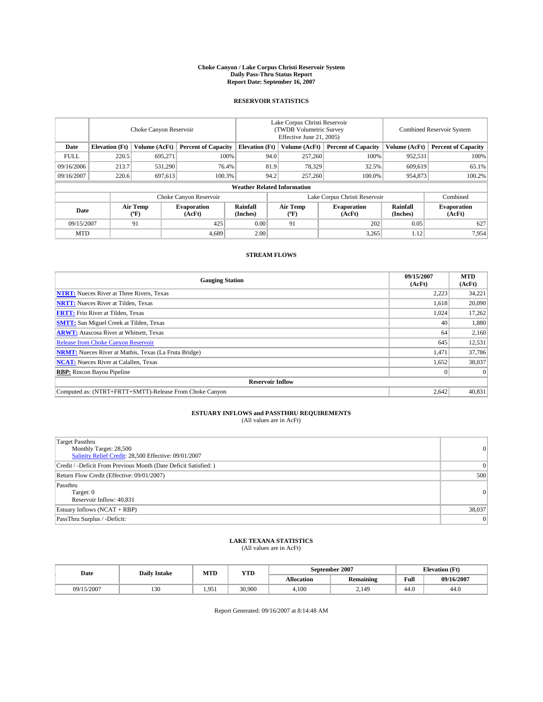#### **Choke Canyon / Lake Corpus Christi Reservoir System Daily Pass-Thru Status Report Report Date: September 16, 2007**

### **RESERVOIR STATISTICS**

|             | Choke Canyon Reservoir             |                               |                              |                                                     | Lake Corpus Christi Reservoir<br>(TWDB Volumetric Survey<br>Effective June 21, 2005) |                           |                              | Combined Reservoir System |                              |  |
|-------------|------------------------------------|-------------------------------|------------------------------|-----------------------------------------------------|--------------------------------------------------------------------------------------|---------------------------|------------------------------|---------------------------|------------------------------|--|
| Date        | <b>Elevation</b> (Ft)              | Volume (AcFt)                 |                              | <b>Percent of Capacity</b><br><b>Elevation</b> (Ft) |                                                                                      | Volume (AcFt)             | <b>Percent of Capacity</b>   | Volume (AcFt)             | <b>Percent of Capacity</b>   |  |
| <b>FULL</b> | 220.5                              | 695.271                       |                              | 100%                                                | 94.0                                                                                 | 257,260                   | 100%                         | 952,531                   | 100%                         |  |
| 09/16/2006  | 213.7                              | 531,290                       | 76.4%                        |                                                     | 81.9                                                                                 | 78,329                    | 32.5%                        | 609.619                   | 65.1%                        |  |
| 09/16/2007  | 220.6                              | 697,613                       | 100.3%                       |                                                     | 94.2                                                                                 | 257,260                   | 100.0%                       | 954,873                   | 100.2%                       |  |
|             | <b>Weather Related Information</b> |                               |                              |                                                     |                                                                                      |                           |                              |                           |                              |  |
|             |                                    | Lake Corpus Christi Reservoir |                              |                                                     |                                                                                      | Combined                  |                              |                           |                              |  |
| Date        |                                    | Air Temp<br>(°F)              | <b>Evaporation</b><br>(AcFt) | Rainfall<br>(Inches)                                |                                                                                      | Air Temp<br>$^{\circ}$ F) | <b>Evaporation</b><br>(AcFt) | Rainfall<br>(Inches)      | <b>Evaporation</b><br>(AcFt) |  |
| 09/15/2007  |                                    | 91                            | 425                          | 0.00                                                |                                                                                      | 91                        | 202                          | 0.05                      | 627                          |  |
| <b>MTD</b>  |                                    |                               | 4,689                        | 2.00                                                |                                                                                      |                           | 3,265                        | 1.12                      | 7,954                        |  |

### **STREAM FLOWS**

| <b>Gauging Station</b>                                       | 09/15/2007<br>(AcFt) | <b>MTD</b><br>(AcFt) |
|--------------------------------------------------------------|----------------------|----------------------|
| <b>NTRT:</b> Nueces River at Three Rivers, Texas             | 2,223                | 34,221               |
| <b>NRTT:</b> Nueces River at Tilden, Texas                   | 1.618                | 20,090               |
| <b>FRTT:</b> Frio River at Tilden, Texas                     | 1,024                | 17,262               |
| <b>SMTT:</b> San Miguel Creek at Tilden, Texas               | 40                   | 1,880                |
| <b>ARWT:</b> Atascosa River at Whitsett, Texas               | 64                   | 2,160                |
| <b>Release from Choke Canyon Reservoir</b>                   | 645                  | 12,531               |
| <b>NRMT:</b> Nueces River at Mathis, Texas (La Fruta Bridge) | 1,471                | 37,786               |
| <b>NCAT:</b> Nueces River at Calallen, Texas                 | 1,652                | 38,037               |
| <b>RBP:</b> Rincon Bayou Pipeline                            |                      | $\Omega$             |
| <b>Reservoir Inflow</b>                                      |                      |                      |
| Computed as: (NTRT+FRTT+SMTT)-Release From Choke Canyon      | 2.642                | 40,831               |

## **ESTUARY INFLOWS and PASSTHRU REQUIREMENTS**<br>(All values are in AcFt)

| <b>Target Passthru</b><br>Monthly Target: 28,500<br>Salinity Relief Credit: 28,500 Effective: 09/01/2007 | 0      |
|----------------------------------------------------------------------------------------------------------|--------|
| Credit / -Deficit From Previous Month (Date Deficit Satisfied: )                                         | 0      |
| Return Flow Credit (Effective: 09/01/2007)                                                               | 500    |
| Passthru<br>Target: 0<br>Reservoir Inflow: 40,831                                                        | 0      |
| Estuary Inflows (NCAT + RBP)                                                                             | 38,037 |
| PassThru Surplus / -Deficit:                                                                             | 0      |

## **LAKE TEXANA STATISTICS** (All values are in AcFt)

| Date       | <b>Daily Intake</b> | MTD   | <b>YTD</b> |                   | September 2007   | <b>Elevation (Ft)</b> |            |
|------------|---------------------|-------|------------|-------------------|------------------|-----------------------|------------|
|            |                     |       |            | <b>Allocation</b> | <b>Remaining</b> | Full                  | 09/16/2007 |
| 09/15/2007 | 130                 | 1.951 | 30,900     | 4.100             | 2.149            | 44.0                  | 44.0       |

Report Generated: 09/16/2007 at 8:14:48 AM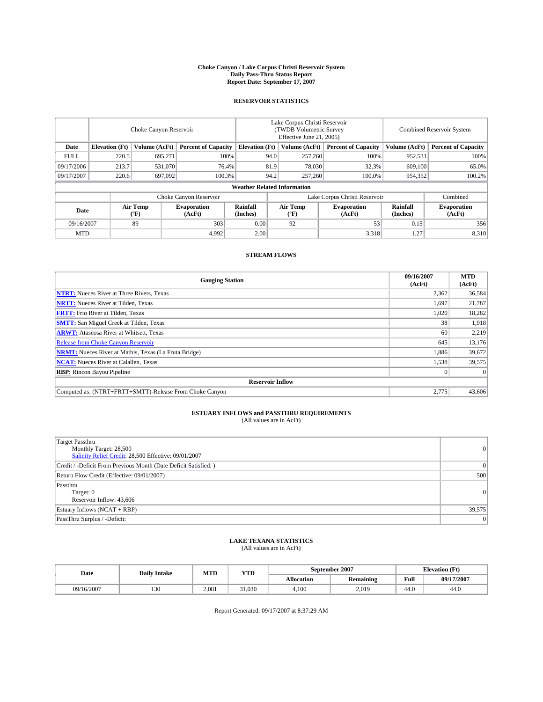#### **Choke Canyon / Lake Corpus Christi Reservoir System Daily Pass-Thru Status Report Report Date: September 17, 2007**

### **RESERVOIR STATISTICS**

|             | Choke Canyon Reservoir |                  |                              |                                    | Lake Corpus Christi Reservoir<br>(TWDB Volumetric Survey<br>Effective June 21, 2005) |                  |                               | <b>Combined Reservoir System</b> |                              |  |
|-------------|------------------------|------------------|------------------------------|------------------------------------|--------------------------------------------------------------------------------------|------------------|-------------------------------|----------------------------------|------------------------------|--|
| Date        | <b>Elevation</b> (Ft)  | Volume (AcFt)    | <b>Percent of Capacity</b>   | <b>Elevation</b> (Ft)              |                                                                                      | Volume (AcFt)    | <b>Percent of Capacity</b>    | Volume (AcFt)                    | <b>Percent of Capacity</b>   |  |
| <b>FULL</b> | 220.5                  | 695.271          |                              | 100%                               | 94.0                                                                                 | 257,260          | 100%                          | 952,531                          | 100%                         |  |
| 09/17/2006  | 213.7                  | 531,070          |                              | 76.4%                              | 81.9                                                                                 | 78,030           | 32.3%                         | 609,100                          | 65.0%                        |  |
| 09/17/2007  | 220.6                  | 697,092          | 100.3%                       |                                    | 94.2                                                                                 | 257,260          | 100.0%                        | 954,352                          | 100.2%                       |  |
|             |                        |                  |                              | <b>Weather Related Information</b> |                                                                                      |                  |                               |                                  |                              |  |
|             |                        |                  | Choke Canyon Reservoir       |                                    |                                                                                      |                  | Lake Corpus Christi Reservoir |                                  | Combined                     |  |
| Date        |                        | Air Temp<br>(°F) | <b>Evaporation</b><br>(AcFt) | Rainfall<br>(Inches)               |                                                                                      | Air Temp<br>("F) | <b>Evaporation</b><br>(AcFt)  | Rainfall<br>(Inches)             | <b>Evaporation</b><br>(AcFt) |  |
| 09/16/2007  |                        | 89               | 303                          | 0.00                               |                                                                                      | 92               | 53                            | 0.15                             | 356                          |  |
| <b>MTD</b>  |                        |                  | 4,992                        | 2.00                               |                                                                                      |                  | 3,318                         | 1.27                             | 8,310                        |  |

### **STREAM FLOWS**

| <b>Gauging Station</b>                                       | 09/16/2007<br>(AcFt) | <b>MTD</b><br>(AcFt) |
|--------------------------------------------------------------|----------------------|----------------------|
| <b>NTRT:</b> Nueces River at Three Rivers, Texas             | 2,362                | 36,584               |
| <b>NRTT:</b> Nueces River at Tilden, Texas                   | 1.697                | 21,787               |
| <b>FRTT:</b> Frio River at Tilden, Texas                     | 1,020                | 18,282               |
| <b>SMTT:</b> San Miguel Creek at Tilden, Texas               | 38                   | 1,918                |
| <b>ARWT:</b> Atascosa River at Whitsett, Texas               | 60                   | 2,219                |
| <b>Release from Choke Canyon Reservoir</b>                   | 645                  | 13,176               |
| <b>NRMT:</b> Nueces River at Mathis, Texas (La Fruta Bridge) | 1,886                | 39,672               |
| <b>NCAT:</b> Nueces River at Calallen, Texas                 | 1,538                | 39,575               |
| <b>RBP:</b> Rincon Bayou Pipeline                            |                      | $\Omega$             |
| <b>Reservoir Inflow</b>                                      |                      |                      |
| Computed as: (NTRT+FRTT+SMTT)-Release From Choke Canyon      | 2,775                | 43,606               |

## **ESTUARY INFLOWS and PASSTHRU REQUIREMENTS**<br>(All values are in AcFt)

| <b>Target Passthru</b><br>Monthly Target: 28,500<br>Salinity Relief Credit: 28,500 Effective: 09/01/2007 | 0      |
|----------------------------------------------------------------------------------------------------------|--------|
| Credit / -Deficit From Previous Month (Date Deficit Satisfied: )                                         | 0      |
| Return Flow Credit (Effective: 09/01/2007)                                                               | 500    |
| Passthru<br>Target: 0<br>Reservoir Inflow: 43,606                                                        | 0      |
| Estuary Inflows (NCAT + RBP)                                                                             | 39,575 |
| PassThru Surplus / -Deficit:                                                                             | 0      |

## **LAKE TEXANA STATISTICS** (All values are in AcFt)

| Date       | <b>Daily Intake</b> | MTD   | <b>YTD</b> |                   | September 2007   | <b>Elevation</b> (Ft) |            |
|------------|---------------------|-------|------------|-------------------|------------------|-----------------------|------------|
|            |                     |       |            | <b>Allocation</b> | <b>Remaining</b> | Full                  | 09/17/2007 |
| 09/16/2007 | 130                 | 2.081 | 31.030     | 4.100             | 2.019            | 44.0                  | 44.0       |

Report Generated: 09/17/2007 at 8:37:29 AM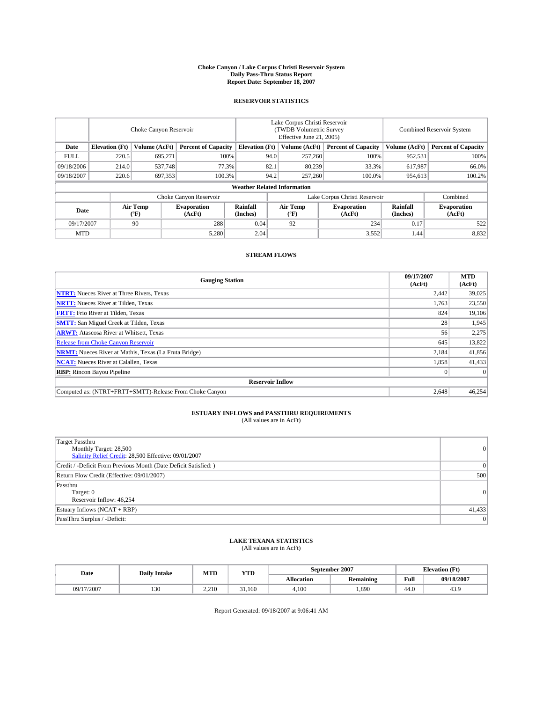#### **Choke Canyon / Lake Corpus Christi Reservoir System Daily Pass-Thru Status Report Report Date: September 18, 2007**

### **RESERVOIR STATISTICS**

|             | Choke Canyon Reservoir |                  |                              |                                                     | Lake Corpus Christi Reservoir<br>(TWDB Volumetric Survey<br>Effective June 21, 2005) |                           |                              |                      | Combined Reservoir System    |  |  |
|-------------|------------------------|------------------|------------------------------|-----------------------------------------------------|--------------------------------------------------------------------------------------|---------------------------|------------------------------|----------------------|------------------------------|--|--|
| Date        | <b>Elevation</b> (Ft)  | Volume (AcFt)    |                              | <b>Percent of Capacity</b><br><b>Elevation</b> (Ft) |                                                                                      | Volume (AcFt)             | <b>Percent of Capacity</b>   | Volume (AcFt)        | <b>Percent of Capacity</b>   |  |  |
| <b>FULL</b> | 220.5                  | 695.271          |                              | 100%                                                | 94.0                                                                                 | 257,260                   | 100%                         | 952,531              | 100%                         |  |  |
| 09/18/2006  | 214.0                  | 537.748          | 77.3%                        |                                                     | 82.1                                                                                 | 80,239                    | 33.3%                        | 617,987              | 66.0%                        |  |  |
| 09/18/2007  | 220.6                  | 697,353          | 100.3%                       |                                                     | 94.2                                                                                 | 257,260                   | 100.0%                       | 954,613              | 100.2%                       |  |  |
|             |                        |                  |                              | <b>Weather Related Information</b>                  |                                                                                      |                           |                              |                      |                              |  |  |
|             |                        |                  | Choke Canyon Reservoir       |                                                     | Lake Corpus Christi Reservoir                                                        |                           |                              |                      | Combined                     |  |  |
| Date        |                        | Air Temp<br>(°F) | <b>Evaporation</b><br>(AcFt) | Rainfall<br>(Inches)                                |                                                                                      | Air Temp<br>$^{\circ}$ F) | <b>Evaporation</b><br>(AcFt) | Rainfall<br>(Inches) | <b>Evaporation</b><br>(AcFt) |  |  |
| 09/17/2007  |                        | 90               | 288                          | 0.04                                                |                                                                                      | 92                        | 234                          | 0.17                 | 522                          |  |  |
| <b>MTD</b>  |                        |                  | 5,280                        | 2.04                                                |                                                                                      |                           | 3,552                        | 1.44                 | 8,832                        |  |  |

### **STREAM FLOWS**

| <b>Gauging Station</b>                                       | 09/17/2007<br>(AcFt) | <b>MTD</b><br>(AcFt) |
|--------------------------------------------------------------|----------------------|----------------------|
| <b>NTRT:</b> Nueces River at Three Rivers, Texas             | 2,442                | 39,025               |
| <b>NRTT:</b> Nueces River at Tilden, Texas                   | 1.763                | 23,550               |
| <b>FRTT:</b> Frio River at Tilden, Texas                     | 824                  | 19,106               |
| <b>SMTT:</b> San Miguel Creek at Tilden, Texas               | 28                   | 1,945                |
| <b>ARWT:</b> Atascosa River at Whitsett, Texas               | 56                   | 2,275                |
| <b>Release from Choke Canyon Reservoir</b>                   | 645                  | 13,822               |
| <b>NRMT:</b> Nueces River at Mathis, Texas (La Fruta Bridge) | 2,184                | 41,856               |
| <b>NCAT:</b> Nueces River at Calallen, Texas                 | 1,858                | 41,433               |
| <b>RBP:</b> Rincon Bayou Pipeline                            |                      | $\Omega$             |
| <b>Reservoir Inflow</b>                                      |                      |                      |
| Computed as: (NTRT+FRTT+SMTT)-Release From Choke Canyon      | 2,648                | 46,254               |

## **ESTUARY INFLOWS and PASSTHRU REQUIREMENTS**<br>(All values are in AcFt)

| <b>Target Passthru</b><br>Monthly Target: 28,500<br>Salinity Relief Credit: 28,500 Effective: 09/01/2007 | 0      |
|----------------------------------------------------------------------------------------------------------|--------|
| Credit / -Deficit From Previous Month (Date Deficit Satisfied: )                                         | 0      |
| Return Flow Credit (Effective: 09/01/2007)                                                               | 500    |
| Passthru<br>Target: 0<br>Reservoir Inflow: 46,254                                                        | 0      |
| Estuary Inflows (NCAT + RBP)                                                                             | 41,433 |
| PassThru Surplus / -Deficit:                                                                             | 0      |

## **LAKE TEXANA STATISTICS** (All values are in AcFt)

| Date       | <b>Daily Intake</b> | MTD   | <b>YTD</b> |                   | September 2007   | <b>Elevation (Ft)</b> |            |
|------------|---------------------|-------|------------|-------------------|------------------|-----------------------|------------|
|            |                     |       |            | <b>Allocation</b> | <b>Remaining</b> | Full                  | 09/18/2007 |
| 09/17/2007 | 130                 | 2.210 | 31.160     | 4.100             | .890             | 44.0                  | 43.9       |

Report Generated: 09/18/2007 at 9:06:41 AM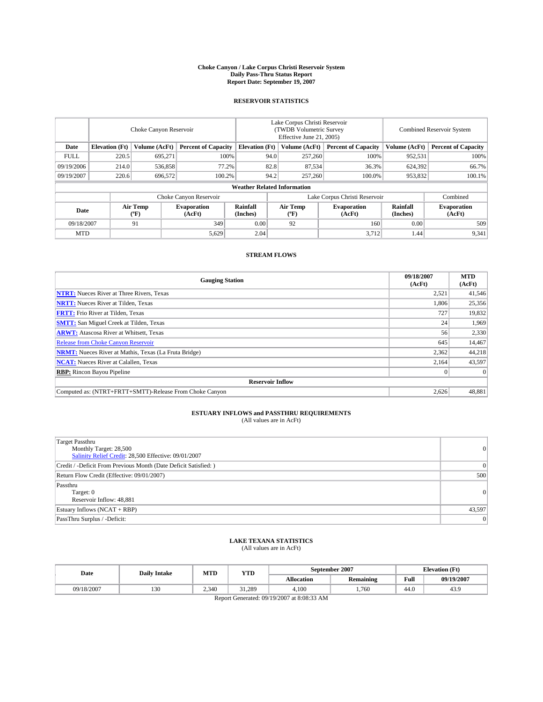#### **Choke Canyon / Lake Corpus Christi Reservoir System Daily Pass-Thru Status Report Report Date: September 19, 2007**

### **RESERVOIR STATISTICS**

|             | Choke Canyon Reservoir             |                  |                              |                       | Lake Corpus Christi Reservoir<br>(TWDB Volumetric Survey<br>Effective June 21, 2005) |                  |                               | <b>Combined Reservoir System</b> |                              |  |
|-------------|------------------------------------|------------------|------------------------------|-----------------------|--------------------------------------------------------------------------------------|------------------|-------------------------------|----------------------------------|------------------------------|--|
| Date        | <b>Elevation</b> (Ft)              | Volume (AcFt)    | <b>Percent of Capacity</b>   | <b>Elevation</b> (Ft) |                                                                                      | Volume (AcFt)    | <b>Percent of Capacity</b>    | Volume (AcFt)                    | <b>Percent of Capacity</b>   |  |
| <b>FULL</b> | 220.5                              | 695.271          |                              | 100%                  | 94.0                                                                                 | 257,260          | 100%                          | 952,531                          | 100%                         |  |
| 09/19/2006  | 214.0                              | 536,858          | 77.2%                        |                       | 82.8                                                                                 | 87.534           | 36.3%                         | 624,392                          | 66.7%                        |  |
| 09/19/2007  | 220.6                              | 696,572          | 100.2%                       |                       | 94.2                                                                                 | 257,260          | 100.0%                        | 953,832                          | $100.1\%$                    |  |
|             | <b>Weather Related Information</b> |                  |                              |                       |                                                                                      |                  |                               |                                  |                              |  |
|             |                                    |                  | Choke Canyon Reservoir       |                       |                                                                                      |                  | Lake Corpus Christi Reservoir |                                  | Combined                     |  |
| Date        |                                    | Air Temp<br>(°F) | <b>Evaporation</b><br>(AcFt) | Rainfall<br>(Inches)  |                                                                                      | Air Temp<br>("F) | <b>Evaporation</b><br>(AcFt)  | Rainfall<br>(Inches)             | <b>Evaporation</b><br>(AcFt) |  |
| 09/18/2007  |                                    | 91               | 349                          | 0.00                  |                                                                                      | 92               | 160                           | 0.00                             | 509                          |  |
| <b>MTD</b>  |                                    |                  | 5,629                        | 2.04                  |                                                                                      |                  | 3,712                         | 1.44                             | 9,341                        |  |

### **STREAM FLOWS**

| <b>Gauging Station</b>                                       | 09/18/2007<br>(AcFt) | <b>MTD</b><br>(AcFt) |
|--------------------------------------------------------------|----------------------|----------------------|
| <b>NTRT:</b> Nueces River at Three Rivers, Texas             | 2,521                | 41,546               |
| <b>NRTT:</b> Nueces River at Tilden, Texas                   | 1.806                | 25,356               |
| <b>FRTT:</b> Frio River at Tilden, Texas                     | 727                  | 19,832               |
| <b>SMTT:</b> San Miguel Creek at Tilden, Texas               | 24                   | 1,969                |
| <b>ARWT:</b> Atascosa River at Whitsett, Texas               | 56                   | 2,330                |
| <b>Release from Choke Canyon Reservoir</b>                   | 645                  | 14,467               |
| <b>NRMT:</b> Nueces River at Mathis, Texas (La Fruta Bridge) | 2,362                | 44,218               |
| <b>NCAT:</b> Nueces River at Calallen, Texas                 | 2,164                | 43,597               |
| <b>RBP:</b> Rincon Bayou Pipeline                            |                      | $\Omega$             |
| <b>Reservoir Inflow</b>                                      |                      |                      |
| Computed as: (NTRT+FRTT+SMTT)-Release From Choke Canyon      | 2,626                | 48,881               |

## **ESTUARY INFLOWS and PASSTHRU REQUIREMENTS**<br>(All values are in AcFt)

| <b>Target Passthru</b><br>Monthly Target: 28,500<br>Salinity Relief Credit: 28,500 Effective: 09/01/2007 | 0      |
|----------------------------------------------------------------------------------------------------------|--------|
| Credit / -Deficit From Previous Month (Date Deficit Satisfied: )                                         | 0      |
| Return Flow Credit (Effective: 09/01/2007)                                                               | 500    |
| Passthru<br>Target: 0<br>Reservoir Inflow: 48,881                                                        | 0      |
| Estuary Inflows (NCAT + RBP)                                                                             | 43,597 |
| PassThru Surplus / -Deficit:                                                                             | 0      |

### **LAKE TEXANA STATISTICS** (All values are in AcFt)

| Date       | <b>Daily Intake</b> | MTD   | YTD    |                   | September 2007   |      | <b>Elevation</b> (Ft) |
|------------|---------------------|-------|--------|-------------------|------------------|------|-----------------------|
|            |                     |       |        | <b>Allocation</b> | <b>Remaining</b> | Full | 09/19/2007            |
| 09/18/2007 | 130                 | 2.340 | 31.289 | 4.100             | .760             | 44.0 | 43.9                  |

Report Generated: 09/19/2007 at 8:08:33 AM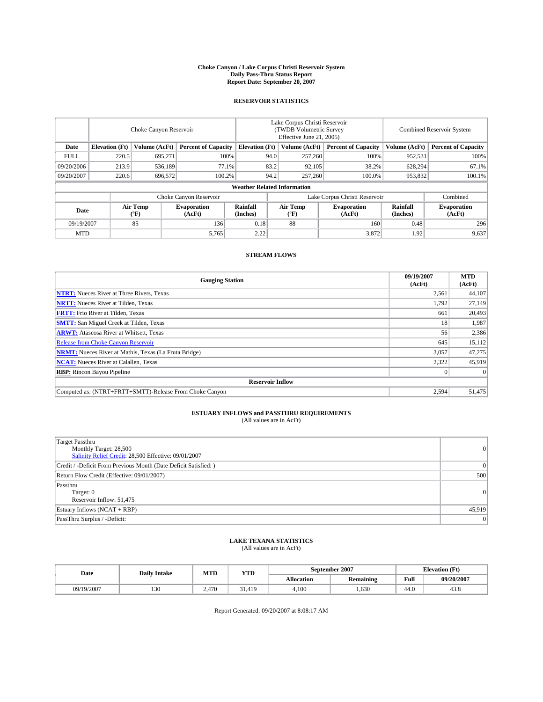#### **Choke Canyon / Lake Corpus Christi Reservoir System Daily Pass-Thru Status Report Report Date: September 20, 2007**

### **RESERVOIR STATISTICS**

|             | Choke Canyon Reservoir             |                  |                              |                       | Lake Corpus Christi Reservoir<br>(TWDB Volumetric Survey<br>Effective June 21, 2005) |                  |                               | <b>Combined Reservoir System</b> |                              |  |
|-------------|------------------------------------|------------------|------------------------------|-----------------------|--------------------------------------------------------------------------------------|------------------|-------------------------------|----------------------------------|------------------------------|--|
| Date        | <b>Elevation</b> (Ft)              | Volume (AcFt)    | <b>Percent of Capacity</b>   | <b>Elevation</b> (Ft) |                                                                                      | Volume (AcFt)    | <b>Percent of Capacity</b>    | Volume (AcFt)                    | <b>Percent of Capacity</b>   |  |
| <b>FULL</b> | 220.5                              | 695.271          |                              | 100%                  | 94.0                                                                                 | 257,260          | 100%                          | 952,531                          | 100%                         |  |
| 09/20/2006  | 213.9                              | 536,189          | 77.1%                        |                       | 83.2                                                                                 | 92,105           | 38.2%                         | 628,294                          | 67.1%                        |  |
| 09/20/2007  | 220.6                              | 696,572          | 100.2%                       |                       | 94.2                                                                                 | 257,260          | 100.0%                        | 953,832                          | $100.1\%$                    |  |
|             | <b>Weather Related Information</b> |                  |                              |                       |                                                                                      |                  |                               |                                  |                              |  |
|             |                                    |                  | Choke Canyon Reservoir       |                       |                                                                                      |                  | Lake Corpus Christi Reservoir |                                  | Combined                     |  |
| Date        |                                    | Air Temp<br>(°F) | <b>Evaporation</b><br>(AcFt) | Rainfall<br>(Inches)  |                                                                                      | Air Temp<br>("F) | <b>Evaporation</b><br>(AcFt)  | Rainfall<br>(Inches)             | <b>Evaporation</b><br>(AcFt) |  |
| 09/19/2007  |                                    | 85               | 136                          | 0.18                  |                                                                                      | 88               | 160                           | 0.48                             | 296                          |  |
| <b>MTD</b>  |                                    |                  | 5,765                        | 2.22                  |                                                                                      |                  | 3,872                         | 1.92                             | 9,637                        |  |

### **STREAM FLOWS**

| <b>Gauging Station</b>                                       | 09/19/2007<br>(AcFt) | <b>MTD</b><br>(AcFt) |
|--------------------------------------------------------------|----------------------|----------------------|
| <b>NTRT:</b> Nueces River at Three Rivers, Texas             | 2,561                | 44,107               |
| <b>NRTT:</b> Nueces River at Tilden, Texas                   | 1.792                | 27.149               |
| <b>FRTT:</b> Frio River at Tilden, Texas                     | 661                  | 20,493               |
| <b>SMTT:</b> San Miguel Creek at Tilden, Texas               | 18                   | 1,987                |
| <b>ARWT:</b> Atascosa River at Whitsett, Texas               | 56                   | 2,386                |
| <b>Release from Choke Canyon Reservoir</b>                   | 645                  | 15,112               |
| <b>NRMT:</b> Nueces River at Mathis, Texas (La Fruta Bridge) | 3,057                | 47,275               |
| <b>NCAT:</b> Nueces River at Calallen, Texas                 | 2,322                | 45,919               |
| <b>RBP:</b> Rincon Bayou Pipeline                            |                      | $\Omega$             |
| <b>Reservoir Inflow</b>                                      |                      |                      |
| Computed as: (NTRT+FRTT+SMTT)-Release From Choke Canyon      | 2,594                | 51.475               |

## **ESTUARY INFLOWS and PASSTHRU REQUIREMENTS**<br>(All values are in AcFt)

| <b>Target Passthru</b><br>Monthly Target: 28,500<br>Salinity Relief Credit: 28,500 Effective: 09/01/2007 | 0      |
|----------------------------------------------------------------------------------------------------------|--------|
| Credit / -Deficit From Previous Month (Date Deficit Satisfied: )                                         | 0      |
| Return Flow Credit (Effective: 09/01/2007)                                                               | 500    |
| Passthru<br>Target: 0<br>Reservoir Inflow: 51,475                                                        | 0      |
| Estuary Inflows (NCAT + RBP)                                                                             | 45,919 |
| PassThru Surplus / -Deficit:                                                                             | 0      |

## **LAKE TEXANA STATISTICS** (All values are in AcFt)

| Date       | <b>Daily Intake</b> | MTD   | <b>YTD</b>   |            | September 2007 | <b>Elevation</b> (Ft) |            |
|------------|---------------------|-------|--------------|------------|----------------|-----------------------|------------|
|            |                     |       |              | Allocation | Remaining      | Full                  | 09/20/2007 |
| 09/19/2007 | 130                 | 2.470 | 51.419<br>31 | 4.100      | .630           | 44.0                  | 43.8       |

Report Generated: 09/20/2007 at 8:08:17 AM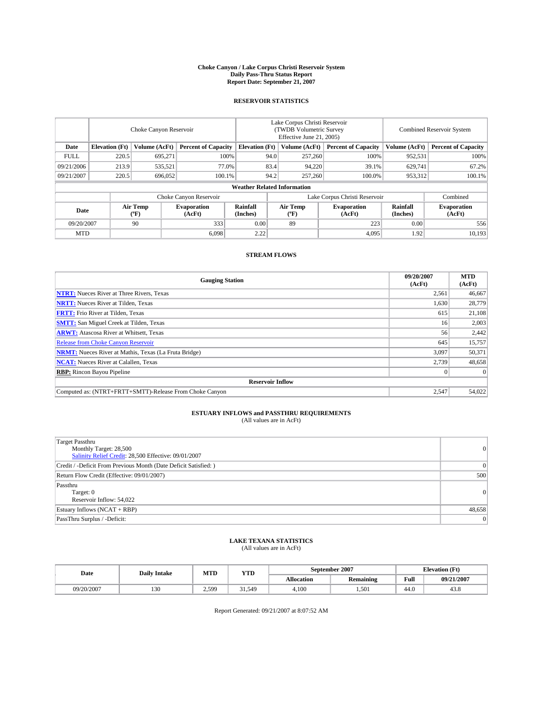#### **Choke Canyon / Lake Corpus Christi Reservoir System Daily Pass-Thru Status Report Report Date: September 21, 2007**

### **RESERVOIR STATISTICS**

|                        | Choke Canyon Reservoir             |                  |                              |                       | Lake Corpus Christi Reservoir<br>(TWDB Volumetric Survey<br>Effective June 21, 2005) |                  |                               | <b>Combined Reservoir System</b> |                              |  |
|------------------------|------------------------------------|------------------|------------------------------|-----------------------|--------------------------------------------------------------------------------------|------------------|-------------------------------|----------------------------------|------------------------------|--|
| Date                   | <b>Elevation</b> (Ft)              | Volume (AcFt)    | <b>Percent of Capacity</b>   | <b>Elevation</b> (Ft) |                                                                                      | Volume (AcFt)    | <b>Percent of Capacity</b>    | Volume (AcFt)                    | <b>Percent of Capacity</b>   |  |
| <b>FULL</b>            | 220.5                              | 695.271          |                              | 100%                  | 94.0                                                                                 | 257,260          | 100%                          | 952,531                          | 100%                         |  |
| 09/21/2006             | 213.9                              | 535,521          |                              | 77.0%                 | 83.4                                                                                 | 94,220           | 39.1%                         | 629,741                          | 67.2%                        |  |
| 09/21/2007             | 220.5                              | 696,052          | 100.1%                       |                       | 94.2                                                                                 | 257,260          | 100.0%                        | 953,312                          | $100.1\%$                    |  |
|                        | <b>Weather Related Information</b> |                  |                              |                       |                                                                                      |                  |                               |                                  |                              |  |
| Choke Canyon Reservoir |                                    |                  |                              |                       |                                                                                      |                  | Lake Corpus Christi Reservoir |                                  | Combined                     |  |
| Date                   |                                    | Air Temp<br>(°F) | <b>Evaporation</b><br>(AcFt) | Rainfall<br>(Inches)  |                                                                                      | Air Temp<br>("F) | <b>Evaporation</b><br>(AcFt)  | Rainfall<br>(Inches)             | <b>Evaporation</b><br>(AcFt) |  |
| 09/20/2007             |                                    | 90               | 333                          | 0.00                  |                                                                                      | 89               | 223                           | 0.00                             | 556                          |  |
| <b>MTD</b>             |                                    |                  | 6.098                        | 2.22                  |                                                                                      |                  | 4,095                         | 1.92                             | 10,193                       |  |

### **STREAM FLOWS**

| <b>Gauging Station</b>                                       | 09/20/2007<br>(AcFt) | <b>MTD</b><br>(AcFt) |
|--------------------------------------------------------------|----------------------|----------------------|
| <b>NTRT:</b> Nueces River at Three Rivers, Texas             | 2,561                | 46.667               |
| <b>NRTT:</b> Nueces River at Tilden, Texas                   | 1,630                | 28,779               |
| <b>FRTT:</b> Frio River at Tilden, Texas                     | 615                  | 21,108               |
| <b>SMTT:</b> San Miguel Creek at Tilden, Texas               | 16                   | 2,003                |
| <b>ARWT:</b> Atascosa River at Whitsett, Texas               | 56                   | 2,442                |
| <b>Release from Choke Canyon Reservoir</b>                   | 645                  | 15,757               |
| <b>NRMT:</b> Nueces River at Mathis, Texas (La Fruta Bridge) | 3,097                | 50,371               |
| <b>NCAT:</b> Nueces River at Calallen, Texas                 | 2,739                | 48,658               |
| <b>RBP:</b> Rincon Bayou Pipeline                            |                      | $\Omega$             |
| <b>Reservoir Inflow</b>                                      |                      |                      |
| Computed as: (NTRT+FRTT+SMTT)-Release From Choke Canyon      | 2,547                | 54,022               |

# **ESTUARY INFLOWS and PASSTHRU REQUIREMENTS**<br>(All values are in AcFt)

| <b>Target Passthru</b><br>Monthly Target: 28,500<br>Salinity Relief Credit: 28,500 Effective: 09/01/2007 | $\overline{0}$ |
|----------------------------------------------------------------------------------------------------------|----------------|
| Credit / -Deficit From Previous Month (Date Deficit Satisfied: )                                         | 0              |
| Return Flow Credit (Effective: 09/01/2007)                                                               | 500            |
| Passthru<br>Target: 0<br>Reservoir Inflow: 54,022                                                        | 0              |
| Estuary Inflows (NCAT + RBP)                                                                             | 48,658         |
| PassThru Surplus / -Deficit:                                                                             | 0              |

## **LAKE TEXANA STATISTICS** (All values are in AcFt)

| Date       | <b>Daily Intake</b> | MTD   | <b>YTD</b> |                   | September 2007   | <b>Elevation (Ft)</b> |            |
|------------|---------------------|-------|------------|-------------------|------------------|-----------------------|------------|
|            |                     |       |            | <b>Allocation</b> | <b>Remaining</b> | Full                  | 09/21/2007 |
| 09/20/2007 | 130                 | 2.599 | 51.549     | 4.100             | .501             | 44.0                  | 43.8       |

Report Generated: 09/21/2007 at 8:07:52 AM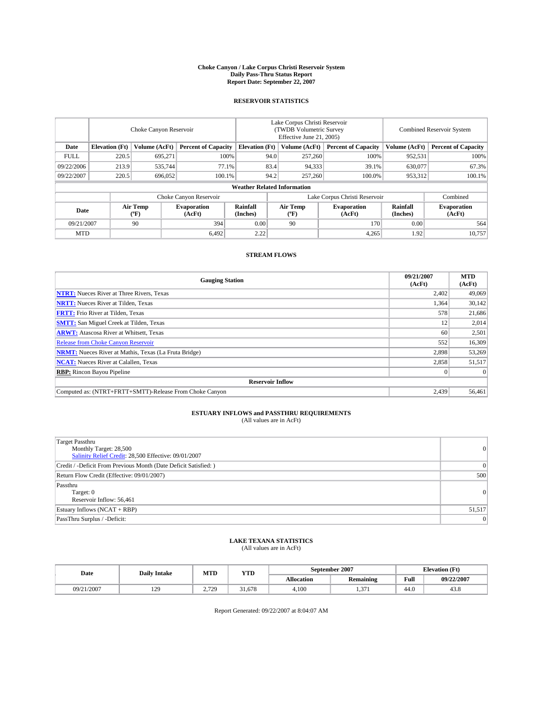#### **Choke Canyon / Lake Corpus Christi Reservoir System Daily Pass-Thru Status Report Report Date: September 22, 2007**

### **RESERVOIR STATISTICS**

|             | Choke Canyon Reservoir             |                  |                              |                       | Lake Corpus Christi Reservoir<br>(TWDB Volumetric Survey<br>Effective June 21, 2005) |                              |                              |                      | Combined Reservoir System    |  |  |
|-------------|------------------------------------|------------------|------------------------------|-----------------------|--------------------------------------------------------------------------------------|------------------------------|------------------------------|----------------------|------------------------------|--|--|
| Date        | <b>Elevation</b> (Ft)              | Volume (AcFt)    | <b>Percent of Capacity</b>   | <b>Elevation</b> (Ft) |                                                                                      | Volume (AcFt)                | <b>Percent of Capacity</b>   | Volume (AcFt)        | <b>Percent of Capacity</b>   |  |  |
| <b>FULL</b> | 220.5                              | 695.271          |                              | 100%                  | 94.0                                                                                 | 257,260                      | 100%                         | 952,531              | 100%                         |  |  |
| 09/22/2006  | 213.9                              | 535.744          |                              | 77.1%                 | 83.4                                                                                 | 94,333                       | 39.1%                        | 630,077              | 67.3%                        |  |  |
| 09/22/2007  | 220.5                              | 696,052          | 100.1%                       |                       | 94.2                                                                                 | 257,260                      | 100.0%                       | 953,312              | 100.1%                       |  |  |
|             | <b>Weather Related Information</b> |                  |                              |                       |                                                                                      |                              |                              |                      |                              |  |  |
|             |                                    |                  | Choke Canyon Reservoir       |                       | Lake Corpus Christi Reservoir                                                        |                              |                              |                      | Combined                     |  |  |
| Date        |                                    | Air Temp<br>(°F) | <b>Evaporation</b><br>(AcFt) | Rainfall<br>(Inches)  |                                                                                      | Air Temp<br>$(^{o}\text{F})$ | <b>Evaporation</b><br>(AcFt) | Rainfall<br>(Inches) | <b>Evaporation</b><br>(AcFt) |  |  |
| 09/21/2007  |                                    | 90               | 394                          | 0.00                  |                                                                                      | 90                           | 170                          | 0.00                 | 564                          |  |  |
| <b>MTD</b>  |                                    |                  | 6.492                        | 2.22                  |                                                                                      |                              | 4,265                        | 1.92                 | 10,757                       |  |  |

### **STREAM FLOWS**

| <b>Gauging Station</b>                                       | 09/21/2007<br>(AcFt) | <b>MTD</b><br>(AcFt) |
|--------------------------------------------------------------|----------------------|----------------------|
| <b>NTRT:</b> Nueces River at Three Rivers, Texas             | 2,402                | 49,069               |
| <b>NRTT:</b> Nueces River at Tilden, Texas                   | 1,364                | 30,142               |
| <b>FRTT:</b> Frio River at Tilden, Texas                     | 578                  | 21,686               |
| <b>SMTT:</b> San Miguel Creek at Tilden, Texas               | 12                   | 2,014                |
| <b>ARWT:</b> Atascosa River at Whitsett, Texas               | 60                   | 2,501                |
| <b>Release from Choke Canyon Reservoir</b>                   | 552                  | 16,309               |
| <b>NRMT:</b> Nueces River at Mathis, Texas (La Fruta Bridge) | 2,898                | 53,269               |
| <b>NCAT:</b> Nueces River at Calallen, Texas                 | 2,858                | 51,517               |
| <b>RBP:</b> Rincon Bayou Pipeline                            |                      | $\Omega$             |
| <b>Reservoir Inflow</b>                                      |                      |                      |
| Computed as: (NTRT+FRTT+SMTT)-Release From Choke Canyon      | 2,439                | 56.461               |

## **ESTUARY INFLOWS and PASSTHRU REQUIREMENTS**<br>(All values are in AcFt)

| <b>Target Passthru</b><br>Monthly Target: 28,500<br>Salinity Relief Credit: 28,500 Effective: 09/01/2007 | 0      |
|----------------------------------------------------------------------------------------------------------|--------|
| Credit / -Deficit From Previous Month (Date Deficit Satisfied: )                                         | 0      |
| Return Flow Credit (Effective: 09/01/2007)                                                               | 500    |
| Passthru<br>Target: 0<br>Reservoir Inflow: 56,461                                                        | 0      |
| Estuary Inflows (NCAT + RBP)                                                                             | 51,517 |
| PassThru Surplus / -Deficit:                                                                             | 0      |

## **LAKE TEXANA STATISTICS** (All values are in AcFt)

| Date       | <b>Daily Intake</b> | MTD      | <b>YTD</b>  |                   | September 2007   |      | <b>Elevation (Ft)</b> |
|------------|---------------------|----------|-------------|-------------------|------------------|------|-----------------------|
|            |                     |          |             | <b>Allocation</b> | <b>Remaining</b> | Full | 09/22/2007            |
| 09/21/2007 | 129                 | 720<br>. | 1.678<br>21 | 4.100             | 271<br>.         | 44.0 | 43.8                  |

Report Generated: 09/22/2007 at 8:04:07 AM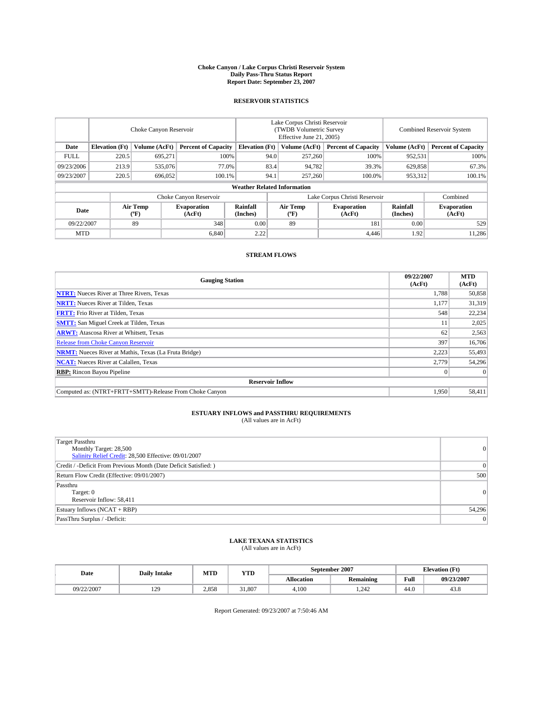#### **Choke Canyon / Lake Corpus Christi Reservoir System Daily Pass-Thru Status Report Report Date: September 23, 2007**

### **RESERVOIR STATISTICS**

|             | Choke Canyon Reservoir             |                  |                              |                               | Lake Corpus Christi Reservoir<br>(TWDB Volumetric Survey<br>Effective June 21, 2005) |                  |                              |                      | <b>Combined Reservoir System</b> |  |  |
|-------------|------------------------------------|------------------|------------------------------|-------------------------------|--------------------------------------------------------------------------------------|------------------|------------------------------|----------------------|----------------------------------|--|--|
| Date        | <b>Elevation</b> (Ft)              | Volume (AcFt)    | <b>Percent of Capacity</b>   | <b>Elevation</b> (Ft)         |                                                                                      | Volume (AcFt)    | <b>Percent of Capacity</b>   | Volume (AcFt)        | <b>Percent of Capacity</b>       |  |  |
| <b>FULL</b> | 220.5                              | 695.271          |                              | 100%                          | 94.0                                                                                 | 257,260          | 100%                         | 952,531              | 100%                             |  |  |
| 09/23/2006  | 213.9                              | 535,076          |                              | 77.0%                         | 83.4                                                                                 | 94,782           | 39.3%                        | 629,858              | 67.3%                            |  |  |
| 09/23/2007  | 220.5                              | 696,052          | 100.1%                       |                               | 94.1                                                                                 | 257,260          | 100.0%                       | 953,312              | $100.1\%$                        |  |  |
|             | <b>Weather Related Information</b> |                  |                              |                               |                                                                                      |                  |                              |                      |                                  |  |  |
|             |                                    |                  |                              | Lake Corpus Christi Reservoir |                                                                                      | Combined         |                              |                      |                                  |  |  |
| Date        |                                    | Air Temp<br>(°F) | <b>Evaporation</b><br>(AcFt) | Rainfall<br>(Inches)          |                                                                                      | Air Temp<br>("F) | <b>Evaporation</b><br>(AcFt) | Rainfall<br>(Inches) | <b>Evaporation</b><br>(AcFt)     |  |  |
| 09/22/2007  |                                    | 89               | 348                          | 0.00                          |                                                                                      | 89               | 181                          | 0.00                 | 529                              |  |  |
| <b>MTD</b>  |                                    |                  | 6.840                        | 2.22                          |                                                                                      |                  | 4,446                        | 1.92                 | 11,286                           |  |  |

### **STREAM FLOWS**

| <b>Gauging Station</b>                                       | 09/22/2007<br>(AcFt) | <b>MTD</b><br>(AcFt) |
|--------------------------------------------------------------|----------------------|----------------------|
| <b>NTRT:</b> Nueces River at Three Rivers, Texas             | 1,788                | 50,858               |
| <b>NRTT:</b> Nueces River at Tilden, Texas                   | 1.177                | 31,319               |
| <b>FRTT:</b> Frio River at Tilden, Texas                     | 548                  | 22,234               |
| <b>SMTT:</b> San Miguel Creek at Tilden, Texas               | 11                   | 2,025                |
| <b>ARWT:</b> Atascosa River at Whitsett, Texas               | 62                   | 2,563                |
| <b>Release from Choke Canyon Reservoir</b>                   | 397                  | 16,706               |
| <b>NRMT:</b> Nueces River at Mathis, Texas (La Fruta Bridge) | 2.223                | 55,493               |
| <b>NCAT:</b> Nueces River at Calallen, Texas                 | 2,779                | 54,296               |
| <b>RBP:</b> Rincon Bayou Pipeline                            |                      | $\Omega$             |
| <b>Reservoir Inflow</b>                                      |                      |                      |
| Computed as: (NTRT+FRTT+SMTT)-Release From Choke Canyon      | 1.950                | 58,411               |

## **ESTUARY INFLOWS and PASSTHRU REQUIREMENTS**<br>(All values are in AcFt)

| <b>Target Passthru</b><br>Monthly Target: 28,500<br>Salinity Relief Credit: 28,500 Effective: 09/01/2007 | 0      |
|----------------------------------------------------------------------------------------------------------|--------|
| Credit / -Deficit From Previous Month (Date Deficit Satisfied: )                                         | 0      |
| Return Flow Credit (Effective: 09/01/2007)                                                               | 500    |
| Passthru<br>Target: 0<br>Reservoir Inflow: 58,411                                                        | 0      |
| Estuary Inflows (NCAT + RBP)                                                                             | 54,296 |
| PassThru Surplus / -Deficit:                                                                             | 0      |

## **LAKE TEXANA STATISTICS** (All values are in AcFt)

| Date       | <b>Daily Intake</b> | MTD   | <b>YTD</b>   |                   | September 2007   |      | <b>Elevation (Ft)</b> |  |
|------------|---------------------|-------|--------------|-------------------|------------------|------|-----------------------|--|
|            |                     |       |              | <b>Allocation</b> | <b>Remaining</b> | Full | 09/23/2007            |  |
| 09/22/2007 | 129                 | 2.858 | 31.807<br>21 | 4.100             | .242             | 44.0 | 43.8                  |  |

Report Generated: 09/23/2007 at 7:50:46 AM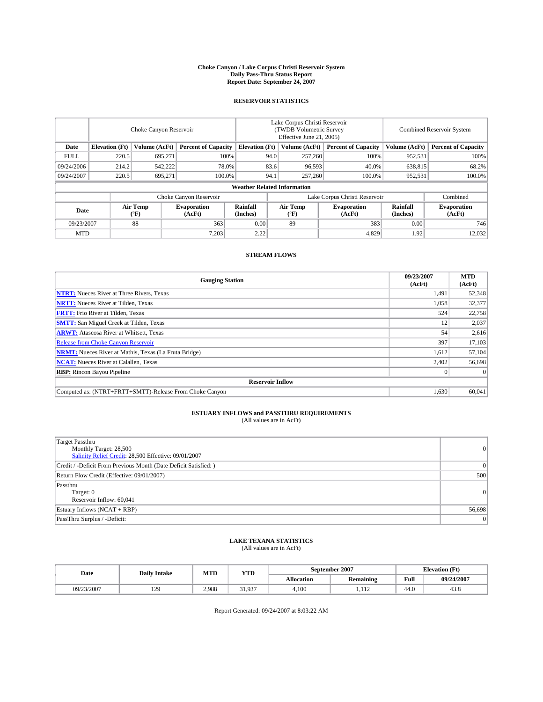#### **Choke Canyon / Lake Corpus Christi Reservoir System Daily Pass-Thru Status Report Report Date: September 24, 2007**

### **RESERVOIR STATISTICS**

|             | Choke Canyon Reservoir             |                  |                              |                                                     | Lake Corpus Christi Reservoir<br>(TWDB Volumetric Survey<br>Effective June 21, 2005) |                  |                              | Combined Reservoir System |                              |  |
|-------------|------------------------------------|------------------|------------------------------|-----------------------------------------------------|--------------------------------------------------------------------------------------|------------------|------------------------------|---------------------------|------------------------------|--|
| Date        | <b>Elevation</b> (Ft)              | Volume (AcFt)    |                              | <b>Percent of Capacity</b><br><b>Elevation</b> (Ft) |                                                                                      | Volume (AcFt)    | <b>Percent of Capacity</b>   | Volume (AcFt)             | <b>Percent of Capacity</b>   |  |
| <b>FULL</b> | 220.5                              | 695.271          |                              | 100%                                                | 94.0                                                                                 | 257,260          | 100%                         | 952,531                   | 100%                         |  |
| 09/24/2006  | 214.2                              | 542,222          | 78.0%                        |                                                     | 83.6                                                                                 | 96,593           | 40.0%                        | 638,815                   | 68.2%                        |  |
| 09/24/2007  | 220.5                              | 695,271          | 100.0%                       |                                                     | 94.1                                                                                 | 257,260          | 100.0%                       | 952,531                   | 100.0%                       |  |
|             | <b>Weather Related Information</b> |                  |                              |                                                     |                                                                                      |                  |                              |                           |                              |  |
|             |                                    |                  |                              | Lake Corpus Christi Reservoir                       |                                                                                      | Combined         |                              |                           |                              |  |
| Date        |                                    | Air Temp<br>(°F) | <b>Evaporation</b><br>(AcFt) | Rainfall<br>(Inches)                                |                                                                                      | Air Temp<br>("F) | <b>Evaporation</b><br>(AcFt) | Rainfall<br>(Inches)      | <b>Evaporation</b><br>(AcFt) |  |
| 09/23/2007  |                                    | 88               | 363                          | 0.00                                                |                                                                                      | 89               | 383                          | 0.00                      | 746                          |  |
| <b>MTD</b>  |                                    |                  | 7,203                        | 2.22                                                |                                                                                      |                  | 4,829                        | 1.92                      | 12,032                       |  |

### **STREAM FLOWS**

| <b>Gauging Station</b>                                       | 09/23/2007<br>(AcFt) | <b>MTD</b><br>(AcFt) |
|--------------------------------------------------------------|----------------------|----------------------|
| <b>NTRT:</b> Nueces River at Three Rivers, Texas             | 1,491                | 52,348               |
| <b>NRTT:</b> Nueces River at Tilden, Texas                   | 1,058                | 32,377               |
| <b>FRTT:</b> Frio River at Tilden, Texas                     | 524                  | 22,758               |
| <b>SMTT:</b> San Miguel Creek at Tilden, Texas               | 12                   | 2,037                |
| <b>ARWT:</b> Atascosa River at Whitsett, Texas               | 54                   | 2,616                |
| <b>Release from Choke Canyon Reservoir</b>                   | 397                  | 17,103               |
| <b>NRMT:</b> Nueces River at Mathis, Texas (La Fruta Bridge) | 1,612                | 57,104               |
| <b>NCAT:</b> Nueces River at Calallen, Texas                 | 2,402                | 56,698               |
| <b>RBP:</b> Rincon Bayou Pipeline                            |                      | $\Omega$             |
| <b>Reservoir Inflow</b>                                      |                      |                      |
| Computed as: (NTRT+FRTT+SMTT)-Release From Choke Canyon      | 1,630                | 60.041               |

## **ESTUARY INFLOWS and PASSTHRU REQUIREMENTS**<br>(All values are in AcFt)

| <b>Target Passthru</b><br>Monthly Target: 28,500<br>Salinity Relief Credit: 28,500 Effective: 09/01/2007 | $\Omega$ |
|----------------------------------------------------------------------------------------------------------|----------|
| Credit / -Deficit From Previous Month (Date Deficit Satisfied: )                                         | $\Omega$ |
| Return Flow Credit (Effective: 09/01/2007)                                                               | 500      |
| Passthru<br>Target: 0<br>Reservoir Inflow: 60,041                                                        | $\Omega$ |
| Estuary Inflows (NCAT + RBP)                                                                             | 56,698   |
| PassThru Surplus / -Deficit:                                                                             | 0        |

## **LAKE TEXANA STATISTICS** (All values are in AcFt)

| Date       | <b>Daily Intake</b> | MTD   | <b>YTD</b>      |            | September 2007 |      | <b>Elevation</b> (Ft) |
|------------|---------------------|-------|-----------------|------------|----------------|------|-----------------------|
|            |                     |       |                 | Allocation | Remaining      | Full | 09/24/2007            |
| 09/23/2007 | 129                 | 2.988 | 31 937<br>J1.7J | 4.100      | 110<br>.       | 44.0 | 43.8                  |

Report Generated: 09/24/2007 at 8:03:22 AM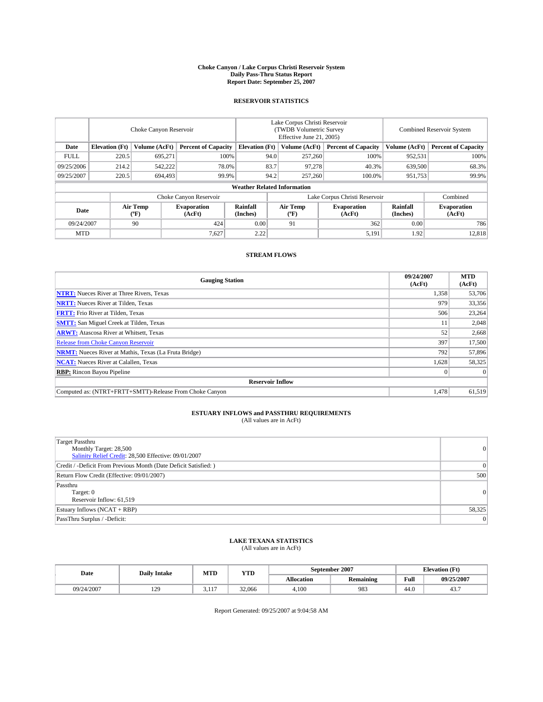#### **Choke Canyon / Lake Corpus Christi Reservoir System Daily Pass-Thru Status Report Report Date: September 25, 2007**

### **RESERVOIR STATISTICS**

|             | Choke Canyon Reservoir |                  |                              |                                    | Lake Corpus Christi Reservoir<br>(TWDB Volumetric Survey<br>Effective June 21, 2005) |                           |                               | Combined Reservoir System |                              |  |
|-------------|------------------------|------------------|------------------------------|------------------------------------|--------------------------------------------------------------------------------------|---------------------------|-------------------------------|---------------------------|------------------------------|--|
| Date        | <b>Elevation</b> (Ft)  | Volume (AcFt)    | <b>Percent of Capacity</b>   | <b>Elevation</b> (Ft)              |                                                                                      | Volume (AcFt)             | <b>Percent of Capacity</b>    | Volume (AcFt)             | <b>Percent of Capacity</b>   |  |
| <b>FULL</b> | 220.5                  | 695.271          |                              | 100%                               | 94.0                                                                                 | 257,260                   | 100%                          | 952,531                   | 100%                         |  |
| 09/25/2006  | 214.2                  | 542,222          | 78.0%                        |                                    | 83.7                                                                                 | 97,278                    | 40.3%                         | 639,500                   | 68.3%                        |  |
| 09/25/2007  | 220.5                  | 694,493          | 99.9%                        |                                    | 94.2                                                                                 | 257,260                   | 100.0%                        | 951,753                   | 99.9%                        |  |
|             |                        |                  |                              | <b>Weather Related Information</b> |                                                                                      |                           |                               |                           |                              |  |
|             |                        |                  | Choke Canyon Reservoir       |                                    |                                                                                      |                           | Lake Corpus Christi Reservoir |                           | Combined                     |  |
| Date        |                        | Air Temp<br>(°F) | <b>Evaporation</b><br>(AcFt) | Rainfall<br>(Inches)               |                                                                                      | Air Temp<br>$^{\circ}$ F) | <b>Evaporation</b><br>(AcFt)  | Rainfall<br>(Inches)      | <b>Evaporation</b><br>(AcFt) |  |
| 09/24/2007  |                        | 90               | 424                          | 0.00                               |                                                                                      | 91                        | 362                           | 0.00                      | 786                          |  |
| <b>MTD</b>  |                        |                  | 7,627                        | 2.22                               |                                                                                      |                           | 5,191                         | 1.92                      | 12,818                       |  |

### **STREAM FLOWS**

| <b>Gauging Station</b>                                       | 09/24/2007<br>(AcFt) | <b>MTD</b><br>(AcFt) |
|--------------------------------------------------------------|----------------------|----------------------|
| <b>NTRT:</b> Nueces River at Three Rivers, Texas             | 1,358                | 53,706               |
| <b>NRTT:</b> Nueces River at Tilden, Texas                   | 979                  | 33,356               |
| <b>FRTT:</b> Frio River at Tilden, Texas                     | 506                  | 23,264               |
| <b>SMTT:</b> San Miguel Creek at Tilden, Texas               | 11                   | 2,048                |
| <b>ARWT:</b> Atascosa River at Whitsett, Texas               | 52                   | 2,668                |
| <b>Release from Choke Canyon Reservoir</b>                   | 397                  | 17,500               |
| <b>NRMT:</b> Nueces River at Mathis, Texas (La Fruta Bridge) | 792                  | 57,896               |
| <b>NCAT:</b> Nueces River at Calallen, Texas                 | 1,628                | 58,325               |
| <b>RBP:</b> Rincon Bayou Pipeline                            |                      | $\Omega$             |
| <b>Reservoir Inflow</b>                                      |                      |                      |
| Computed as: (NTRT+FRTT+SMTT)-Release From Choke Canyon      | 1.478                | 61.519               |

## **ESTUARY INFLOWS and PASSTHRU REQUIREMENTS**<br>(All values are in AcFt)

| <b>Target Passthru</b><br>Monthly Target: 28,500<br>Salinity Relief Credit: 28,500 Effective: 09/01/2007 | $\vert 0 \vert$ |
|----------------------------------------------------------------------------------------------------------|-----------------|
| Credit / -Deficit From Previous Month (Date Deficit Satisfied: )                                         | $\Omega$        |
| Return Flow Credit (Effective: 09/01/2007)                                                               | 500             |
| Passthru<br>Target: 0<br>Reservoir Inflow: 61,519                                                        | $\vert 0 \vert$ |
| Estuary Inflows (NCAT + RBP)                                                                             | 58,325          |
| PassThru Surplus / -Deficit:                                                                             | $\Omega$        |

### **LAKE TEXANA STATISTICS** (All values are in AcFt)

| Date       | <b>Daily Intake</b> | MTD           | <b>YTD</b> |            | September 2007   | <b>Elevation</b> (Ft) |            |
|------------|---------------------|---------------|------------|------------|------------------|-----------------------|------------|
|            |                     |               |            | Allocation | <b>Remaining</b> | Full                  | 09/25/2007 |
| 09/24/2007 | 129                 | 117<br>$-111$ | 32,066     | 4.100      | 983              | 44.0                  | ٠.         |

Report Generated: 09/25/2007 at 9:04:58 AM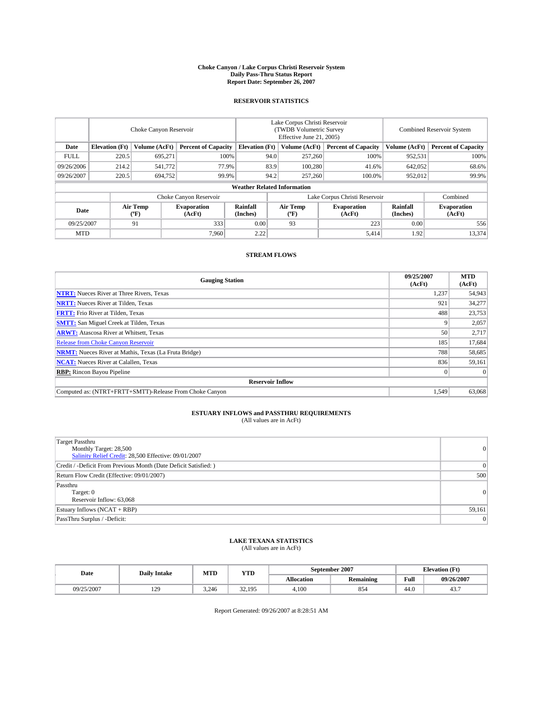#### **Choke Canyon / Lake Corpus Christi Reservoir System Daily Pass-Thru Status Report Report Date: September 26, 2007**

### **RESERVOIR STATISTICS**

|             | Choke Canyon Reservoir             |                  |                              |                       | Lake Corpus Christi Reservoir<br>(TWDB Volumetric Survey<br>Effective June 21, 2005) |                           |                               |                      | Combined Reservoir System    |  |  |
|-------------|------------------------------------|------------------|------------------------------|-----------------------|--------------------------------------------------------------------------------------|---------------------------|-------------------------------|----------------------|------------------------------|--|--|
| Date        | <b>Elevation</b> (Ft)              | Volume (AcFt)    | <b>Percent of Capacity</b>   | <b>Elevation</b> (Ft) |                                                                                      | Volume (AcFt)             | <b>Percent of Capacity</b>    | Volume (AcFt)        | <b>Percent of Capacity</b>   |  |  |
| <b>FULL</b> | 220.5                              | 695.271          |                              | 100%                  | 94.0                                                                                 | 257,260                   | 100%                          | 952,531              | 100%                         |  |  |
| 09/26/2006  | 214.2                              | 541,772          | 77.9%                        |                       | 83.9                                                                                 | 100,280                   | 41.6%                         | 642,052              | 68.6%                        |  |  |
| 09/26/2007  | 220.5                              | 694,752          | 99.9%                        |                       | 94.2                                                                                 | 257,260                   | 100.0%                        | 952,012              | 99.9%                        |  |  |
|             | <b>Weather Related Information</b> |                  |                              |                       |                                                                                      |                           |                               |                      |                              |  |  |
|             |                                    |                  | Choke Canyon Reservoir       |                       |                                                                                      |                           | Lake Corpus Christi Reservoir |                      | Combined                     |  |  |
| Date        |                                    | Air Temp<br>(°F) | <b>Evaporation</b><br>(AcFt) | Rainfall<br>(Inches)  |                                                                                      | Air Temp<br>$^{\circ}$ F) | <b>Evaporation</b><br>(AcFt)  | Rainfall<br>(Inches) | <b>Evaporation</b><br>(AcFt) |  |  |
| 09/25/2007  |                                    | 91               | 333                          | 0.00                  |                                                                                      | 93                        | 223                           | 0.00                 | 556                          |  |  |
| <b>MTD</b>  |                                    |                  | 7.960                        | 2.22                  |                                                                                      |                           | 5,414                         | 1.92                 | 13,374                       |  |  |

### **STREAM FLOWS**

| <b>Gauging Station</b>                                       | 09/25/2007<br>(AcFt) | <b>MTD</b><br>(AcFt) |
|--------------------------------------------------------------|----------------------|----------------------|
| <b>NTRT:</b> Nueces River at Three Rivers, Texas             | 1,237                | 54,943               |
| <b>NRTT:</b> Nueces River at Tilden, Texas                   | 921                  | 34,277               |
| <b>FRTT:</b> Frio River at Tilden, Texas                     | 488                  | 23,753               |
| <b>SMTT:</b> San Miguel Creek at Tilden, Texas               |                      | 2,057                |
| <b>ARWT:</b> Atascosa River at Whitsett, Texas               | 50                   | 2,717                |
| <b>Release from Choke Canyon Reservoir</b>                   | 185                  | 17,684               |
| <b>NRMT:</b> Nueces River at Mathis, Texas (La Fruta Bridge) | 788                  | 58,685               |
| <b>NCAT:</b> Nueces River at Calallen, Texas                 | 836                  | 59,161               |
| <b>RBP:</b> Rincon Bayou Pipeline                            |                      | $\Omega$             |
| <b>Reservoir Inflow</b>                                      |                      |                      |
| Computed as: (NTRT+FRTT+SMTT)-Release From Choke Canyon      | 1.549                | 63,068               |

## **ESTUARY INFLOWS and PASSTHRU REQUIREMENTS**<br>(All values are in AcFt)

| <b>Target Passthru</b><br>Monthly Target: 28,500<br>Salinity Relief Credit: 28,500 Effective: 09/01/2007 | 0      |
|----------------------------------------------------------------------------------------------------------|--------|
| Credit / -Deficit From Previous Month (Date Deficit Satisfied: )                                         | 0      |
| Return Flow Credit (Effective: 09/01/2007)                                                               | 500    |
| Passthru<br>Target: 0<br>Reservoir Inflow: 63,068                                                        | 0      |
| Estuary Inflows (NCAT + RBP)                                                                             | 59,161 |
| PassThru Surplus / -Deficit:                                                                             | 0      |

# **LAKE TEXANA STATISTICS** (All values are in AcFt)

| Date       | <b>Daily Intake</b> | MTD   | <b>YTD</b>                |                   | September 2007   | <b>Elevation (Ft)</b> |            |
|------------|---------------------|-------|---------------------------|-------------------|------------------|-----------------------|------------|
|            |                     |       |                           | <b>Allocation</b> | <b>Remaining</b> | Full                  | 09/26/2007 |
| 09/25/2007 | 129                 | 3.246 | 32.195<br>J <i>L</i> .17J | 4.100             | 854              | 44.0                  | ٠.         |

Report Generated: 09/26/2007 at 8:28:51 AM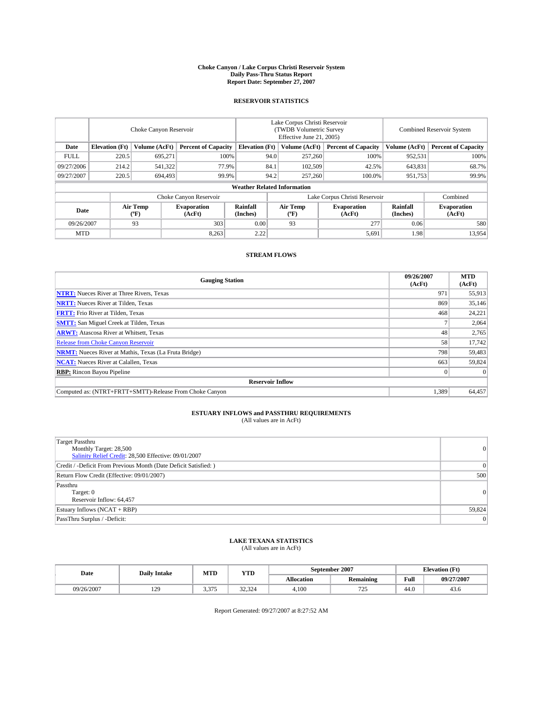#### **Choke Canyon / Lake Corpus Christi Reservoir System Daily Pass-Thru Status Report Report Date: September 27, 2007**

### **RESERVOIR STATISTICS**

|             | Choke Canyon Reservoir             |                  |                              |                       | Lake Corpus Christi Reservoir<br>(TWDB Volumetric Survey<br>Effective June 21, 2005) |                           |                               | Combined Reservoir System |                              |  |
|-------------|------------------------------------|------------------|------------------------------|-----------------------|--------------------------------------------------------------------------------------|---------------------------|-------------------------------|---------------------------|------------------------------|--|
| Date        | <b>Elevation</b> (Ft)              | Volume (AcFt)    | <b>Percent of Capacity</b>   | <b>Elevation</b> (Ft) |                                                                                      | Volume (AcFt)             | <b>Percent of Capacity</b>    | Volume (AcFt)             | <b>Percent of Capacity</b>   |  |
| <b>FULL</b> | 220.5                              | 695.271          | 100%                         |                       | 94.0                                                                                 | 257,260                   | 100%                          | 952,531                   | 100%                         |  |
| 09/27/2006  | 214.2                              | 541,322          | 77.9%                        |                       | 84.1                                                                                 | 102,509                   | 42.5%                         | 643,831                   | 68.7%                        |  |
| 09/27/2007  | 220.5                              | 694,493          | 99.9%                        |                       | 94.2                                                                                 | 257,260                   | 100.0%                        | 951,753                   | 99.9%                        |  |
|             | <b>Weather Related Information</b> |                  |                              |                       |                                                                                      |                           |                               |                           |                              |  |
|             |                                    |                  | Choke Canyon Reservoir       |                       |                                                                                      |                           | Lake Corpus Christi Reservoir |                           | Combined                     |  |
| Date        |                                    | Air Temp<br>(°F) | <b>Evaporation</b><br>(AcFt) | Rainfall<br>(Inches)  |                                                                                      | Air Temp<br>$^{\circ}$ F) | <b>Evaporation</b><br>(AcFt)  | Rainfall<br>(Inches)      | <b>Evaporation</b><br>(AcFt) |  |
| 09/26/2007  |                                    | 93               | 303                          | 0.00                  |                                                                                      | 93                        | 277                           | 0.06                      | 580                          |  |
| <b>MTD</b>  |                                    |                  | 8,263                        | 2.22                  |                                                                                      |                           | 5,691                         | 1.98                      | 13,954                       |  |

### **STREAM FLOWS**

| <b>Gauging Station</b>                                       | 09/26/2007<br>(AcFt) | <b>MTD</b><br>(AcFt) |
|--------------------------------------------------------------|----------------------|----------------------|
| <b>NTRT:</b> Nueces River at Three Rivers, Texas             | 971                  | 55,913               |
| <b>NRTT:</b> Nueces River at Tilden, Texas                   | 869                  | 35,146               |
| <b>FRTT:</b> Frio River at Tilden, Texas                     | 468                  | 24,221               |
| <b>SMTT:</b> San Miguel Creek at Tilden, Texas               |                      | 2,064                |
| <b>ARWT:</b> Atascosa River at Whitsett, Texas               | 48                   | 2,765                |
| <b>Release from Choke Canyon Reservoir</b>                   | 58                   | 17,742               |
| <b>NRMT:</b> Nueces River at Mathis, Texas (La Fruta Bridge) | 798                  | 59,483               |
| <b>NCAT:</b> Nueces River at Calallen, Texas                 | 663                  | 59,824               |
| <b>RBP:</b> Rincon Bayou Pipeline                            |                      | $\Omega$             |
| <b>Reservoir Inflow</b>                                      |                      |                      |
| Computed as: (NTRT+FRTT+SMTT)-Release From Choke Canyon      | 1,389                | 64,457               |

## **ESTUARY INFLOWS and PASSTHRU REQUIREMENTS**<br>(All values are in AcFt)

| <b>Target Passthru</b><br>Monthly Target: 28,500<br>Salinity Relief Credit: 28,500 Effective: 09/01/2007 | 0      |
|----------------------------------------------------------------------------------------------------------|--------|
| Credit / -Deficit From Previous Month (Date Deficit Satisfied: )                                         | 0      |
| Return Flow Credit (Effective: 09/01/2007)                                                               | 500    |
| Passthru<br>Target: 0<br>Reservoir Inflow: 64,457                                                        | 0      |
| Estuary Inflows (NCAT + RBP)                                                                             | 59,824 |
| PassThru Surplus / -Deficit:                                                                             | 0      |

## **LAKE TEXANA STATISTICS** (All values are in AcFt)

| Date       | <b>Daily Intake</b> | MTD   | <b>YTD</b> |                   | September 2007   | <b>Elevation (Ft)</b> |            |
|------------|---------------------|-------|------------|-------------------|------------------|-----------------------|------------|
|            |                     |       |            | <b>Allocation</b> | <b>Remaining</b> | Full                  | 09/27/2007 |
| 09/26/2007 | 129                 | 3.375 | 32.324     | 4.100             | 725<br>ب سے ا    | 44.0                  | 43.0       |

Report Generated: 09/27/2007 at 8:27:52 AM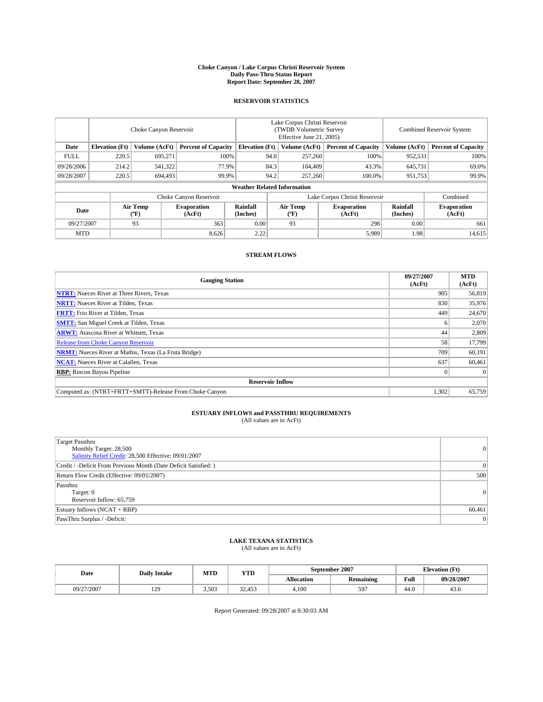#### **Choke Canyon / Lake Corpus Christi Reservoir System Daily Pass-Thru Status Report Report Date: September 28, 2007**

### **RESERVOIR STATISTICS**

|             | Choke Canyon Reservoir |                  |                              |                                    | Lake Corpus Christi Reservoir<br>(TWDB Volumetric Survey<br>Effective June 21, 2005) |                           |                               | Combined Reservoir System |                              |  |
|-------------|------------------------|------------------|------------------------------|------------------------------------|--------------------------------------------------------------------------------------|---------------------------|-------------------------------|---------------------------|------------------------------|--|
| Date        | <b>Elevation</b> (Ft)  | Volume (AcFt)    | <b>Percent of Capacity</b>   | <b>Elevation</b> (Ft)              |                                                                                      | Volume (AcFt)             | <b>Percent of Capacity</b>    | Volume (AcFt)             | <b>Percent of Capacity</b>   |  |
| <b>FULL</b> | 220.5                  | 695.271          | 100%                         |                                    | 94.0                                                                                 | 257,260                   | 100%                          | 952,531                   | 100%                         |  |
| 09/28/2006  | 214.2                  | 541,322          | 77.9%                        |                                    | 84.3                                                                                 | 104,409                   | 43.3%                         | 645,731                   | 69.0%                        |  |
| 09/28/2007  | 220.5                  | 694,493          | 99.9%                        |                                    | 94.2                                                                                 | 257,260                   | 100.0%                        | 951,753                   | 99.9%                        |  |
|             |                        |                  |                              | <b>Weather Related Information</b> |                                                                                      |                           |                               |                           |                              |  |
|             |                        |                  | Choke Canyon Reservoir       |                                    |                                                                                      |                           | Lake Corpus Christi Reservoir |                           | Combined                     |  |
| Date        |                        | Air Temp<br>(°F) | <b>Evaporation</b><br>(AcFt) | Rainfall<br>(Inches)               |                                                                                      | Air Temp<br>$^{\circ}$ F) | <b>Evaporation</b><br>(AcFt)  | Rainfall<br>(Inches)      | <b>Evaporation</b><br>(AcFt) |  |
| 09/27/2007  |                        | 93               | 363                          | 0.00                               |                                                                                      | 93                        | 298                           | 0.00                      | 661                          |  |
| <b>MTD</b>  |                        |                  | 8,626                        | 2.22                               |                                                                                      |                           | 5,989                         | 1.98                      | 14,615                       |  |

### **STREAM FLOWS**

| <b>Gauging Station</b>                                       | 09/27/2007<br>(AcFt) | <b>MTD</b><br>(AcFt) |
|--------------------------------------------------------------|----------------------|----------------------|
| <b>NTRT:</b> Nueces River at Three Rivers, Texas             | 905                  | 56,819               |
| <b>NRTT:</b> Nueces River at Tilden, Texas                   | 830                  | 35,976               |
| <b>FRTT:</b> Frio River at Tilden, Texas                     | 449                  | 24,670               |
| <b>SMTT:</b> San Miguel Creek at Tilden, Texas               |                      | 2,070                |
| <b>ARWT:</b> Atascosa River at Whitsett, Texas               | 44                   | 2,809                |
| <b>Release from Choke Canyon Reservoir</b>                   | 58                   | 17,799               |
| <b>NRMT:</b> Nueces River at Mathis, Texas (La Fruta Bridge) | 709                  | 60,191               |
| <b>NCAT:</b> Nueces River at Calallen, Texas                 | 637                  | 60,461               |
| <b>RBP:</b> Rincon Bayou Pipeline                            |                      | $\Omega$             |
| <b>Reservoir Inflow</b>                                      |                      |                      |
| Computed as: (NTRT+FRTT+SMTT)-Release From Choke Canyon      | 1,302                | 65,759               |

## **ESTUARY INFLOWS and PASSTHRU REQUIREMENTS**<br>(All values are in AcFt)

| <b>Target Passthru</b><br>Monthly Target: 28,500<br>Salinity Relief Credit: 28,500 Effective: 09/01/2007 | 0      |
|----------------------------------------------------------------------------------------------------------|--------|
| Credit / -Deficit From Previous Month (Date Deficit Satisfied: )                                         | 0      |
| Return Flow Credit (Effective: 09/01/2007)                                                               | 500    |
| Passthru<br>Target: 0<br>Reservoir Inflow: 65,759                                                        | 0      |
| Estuary Inflows (NCAT + RBP)                                                                             | 60,461 |
| PassThru Surplus / -Deficit:                                                                             | 0      |

### **LAKE TEXANA STATISTICS** (All values are in AcFt)

| Date       | <b>Daily Intake</b> | MTD   | YTD    |                   | September 2007   | $\sqrt{10}$<br><b>Elevation</b><br>u u |            |
|------------|---------------------|-------|--------|-------------------|------------------|----------------------------------------|------------|
|            |                     |       |        | <b>Allocation</b> | <b>Remaining</b> | Full                                   | 09/28/2007 |
| 09/27/2007 | 120<br>1/2          | 3.503 | 32.453 | 4.100             | $59^{-}$         | 44.0                                   | 45.0       |

Report Generated: 09/28/2007 at 8:30:03 AM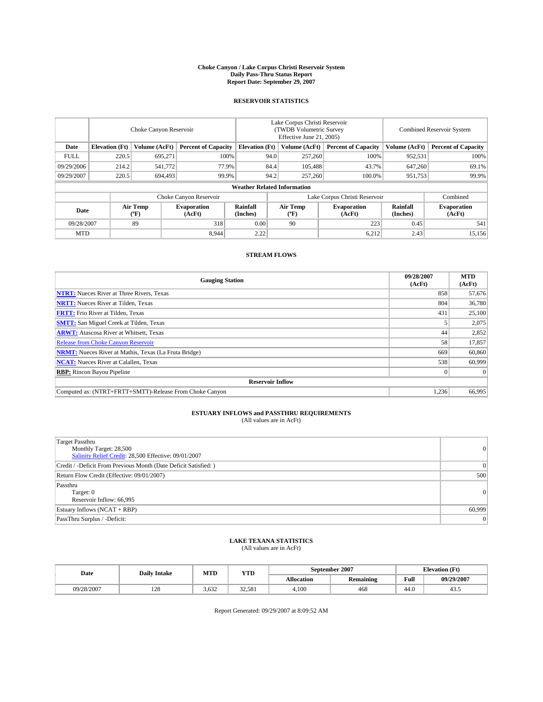#### **Choke Canyon / Lake Corpus Christi Reservoir System Daily Pass-Thru Status Report Report Date: September 29, 2007**

### **RESERVOIR STATISTICS**

|             | Choke Canyon Reservoir |                  |                              |                                    | Lake Corpus Christi Reservoir<br>(TWDB Volumetric Survey<br>Effective June 21, 2005) |                                           |                               | <b>Combined Reservoir System</b> |                              |  |
|-------------|------------------------|------------------|------------------------------|------------------------------------|--------------------------------------------------------------------------------------|-------------------------------------------|-------------------------------|----------------------------------|------------------------------|--|
| Date        | <b>Elevation</b> (Ft)  | Volume (AcFt)    | <b>Percent of Capacity</b>   | <b>Elevation</b> (Ft)              |                                                                                      | Volume (AcFt)                             | <b>Percent of Capacity</b>    | Volume (AcFt)                    | <b>Percent of Capacity</b>   |  |
| <b>FULL</b> | 220.5                  | 695.271          |                              | 100%                               | 94.0                                                                                 | 257,260                                   | 100%                          | 952,531                          | 100%                         |  |
| 09/29/2006  | 214.2                  | 541,772          | 77.9%                        |                                    | 84.4                                                                                 | 105,488                                   | 43.7%                         | 647,260                          | 69.1%                        |  |
| 09/29/2007  | 220.5                  | 694,493          | 99.9%                        |                                    | 94.2                                                                                 | 257,260                                   | 100.0%                        | 951,753                          | 99.9%                        |  |
|             |                        |                  |                              | <b>Weather Related Information</b> |                                                                                      |                                           |                               |                                  |                              |  |
|             |                        |                  | Choke Canyon Reservoir       |                                    |                                                                                      |                                           | Lake Corpus Christi Reservoir |                                  | Combined                     |  |
| Date        |                        | Air Temp<br>(°F) | <b>Evaporation</b><br>(AcFt) | Rainfall<br>(Inches)               |                                                                                      | Air Temp<br>$({}^{\mathrm{o}}\mathrm{F})$ | <b>Evaporation</b><br>(AcFt)  | Rainfall<br>(Inches)             | <b>Evaporation</b><br>(AcFt) |  |
| 09/28/2007  |                        | 89               | 318                          | 0.00                               |                                                                                      | 90                                        | 223                           | 0.45                             | 541                          |  |
| <b>MTD</b>  |                        |                  | 8.944                        | 2.22                               |                                                                                      |                                           | 6,212                         | 2.43                             | 15,156                       |  |

### **STREAM FLOWS**

| <b>Gauging Station</b>                                       | 09/28/2007<br>(AcFt) | <b>MTD</b><br>(AcFt) |
|--------------------------------------------------------------|----------------------|----------------------|
| <b>NTRT:</b> Nueces River at Three Rivers, Texas             | 858                  | 57,676               |
| <b>NRTT:</b> Nueces River at Tilden, Texas                   | 804                  | 36,780               |
| <b>FRTT:</b> Frio River at Tilden, Texas                     | 431                  | 25,100               |
| <b>SMTT:</b> San Miguel Creek at Tilden, Texas               |                      | 2,075                |
| <b>ARWT:</b> Atascosa River at Whitsett, Texas               | 44                   | 2,852                |
| <b>Release from Choke Canyon Reservoir</b>                   | 58                   | 17,857               |
| <b>NRMT:</b> Nueces River at Mathis, Texas (La Fruta Bridge) | 669                  | 60,860               |
| <b>NCAT:</b> Nueces River at Calallen, Texas                 | 538                  | 60,999               |
| <b>RBP:</b> Rincon Bayou Pipeline                            |                      | $\Omega$             |
| <b>Reservoir Inflow</b>                                      |                      |                      |
| Computed as: (NTRT+FRTT+SMTT)-Release From Choke Canyon      | 1.236                | 66,995               |

## **ESTUARY INFLOWS and PASSTHRU REQUIREMENTS**<br>(All values are in AcFt)

| <b>Target Passthru</b><br>Monthly Target: 28,500<br>Salinity Relief Credit: 28,500 Effective: 09/01/2007 | 0      |
|----------------------------------------------------------------------------------------------------------|--------|
| Credit / -Deficit From Previous Month (Date Deficit Satisfied: )                                         | 0      |
| Return Flow Credit (Effective: 09/01/2007)                                                               | 500    |
| Passthru<br>Target: 0<br>Reservoir Inflow: 66,995                                                        | 0      |
| Estuary Inflows (NCAT + RBP)                                                                             | 60,999 |
| PassThru Surplus / -Deficit:                                                                             | 0      |

## **LAKE TEXANA STATISTICS** (All values are in AcFt)

| Date       | <b>Daily Intake</b> | MTD   | <b>YTD</b> |                   | September 2007   | <b>Elevation (Ft)</b> |            |
|------------|---------------------|-------|------------|-------------------|------------------|-----------------------|------------|
|            |                     |       |            | <b>Allocation</b> | <b>Remaining</b> | Full                  | 09/29/2007 |
| 09/28/2007 | 100<br>14e          | 3.632 | 32.581     | 4.100             | 468              | 44.0                  | ر+         |

Report Generated: 09/29/2007 at 8:09:52 AM